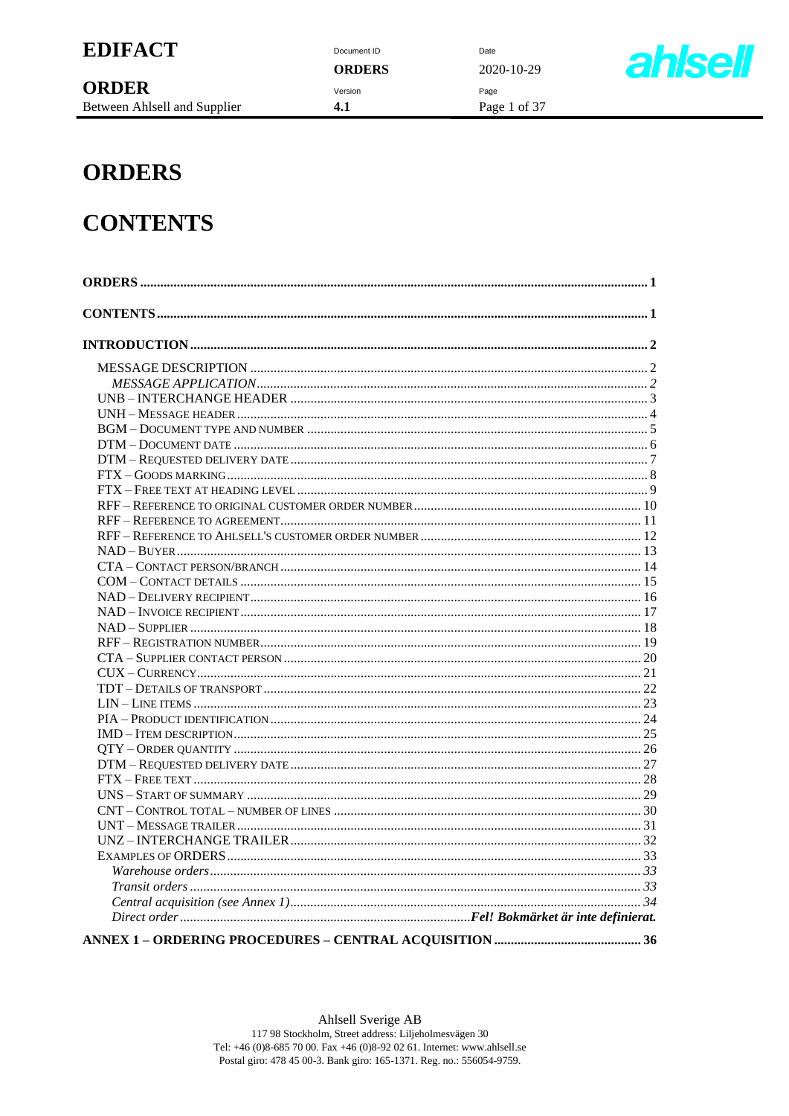Document ID **ORDERS** Version  $4.1$ 

Date 2020-10-29 Page Page 1 of 37



# **ORDERS**

# **CONTENTS**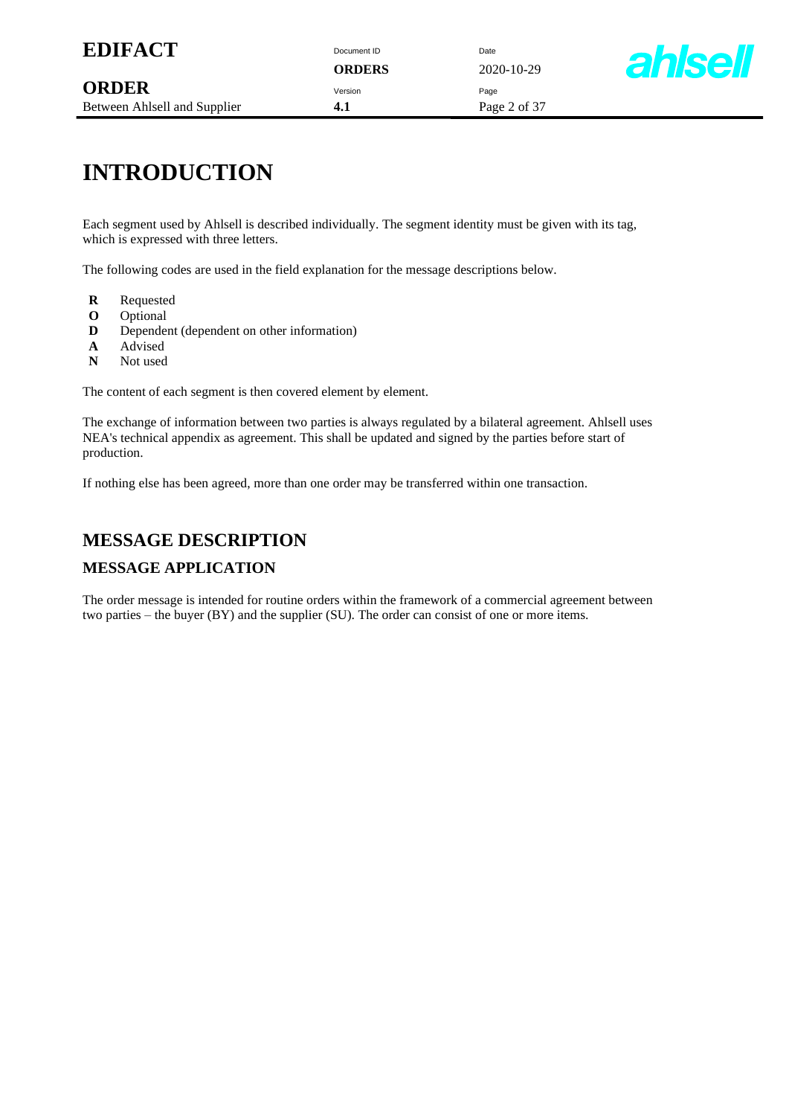**ORDERS** 2020-10-29



# **INTRODUCTION**

Each segment used by Ahlsell is described individually. The segment identity must be given with its tag, which is expressed with three letters.

The following codes are used in the field explanation for the message descriptions below.

- **R** Requested
- 
- **O** Optional<br>**D** Depende Dependent (dependent on other information)
- **A** Advised<br>**N** Not used
- Not used

The content of each segment is then covered element by element.

The exchange of information between two parties is always regulated by a bilateral agreement. Ahlsell uses NEA's technical appendix as agreement. This shall be updated and signed by the parties before start of production.

If nothing else has been agreed, more than one order may be transferred within one transaction.

### **MESSAGE DESCRIPTION**

#### **MESSAGE APPLICATION**

The order message is intended for routine orders within the framework of a commercial agreement between two parties – the buyer (BY) and the supplier (SU). The order can consist of one or more items.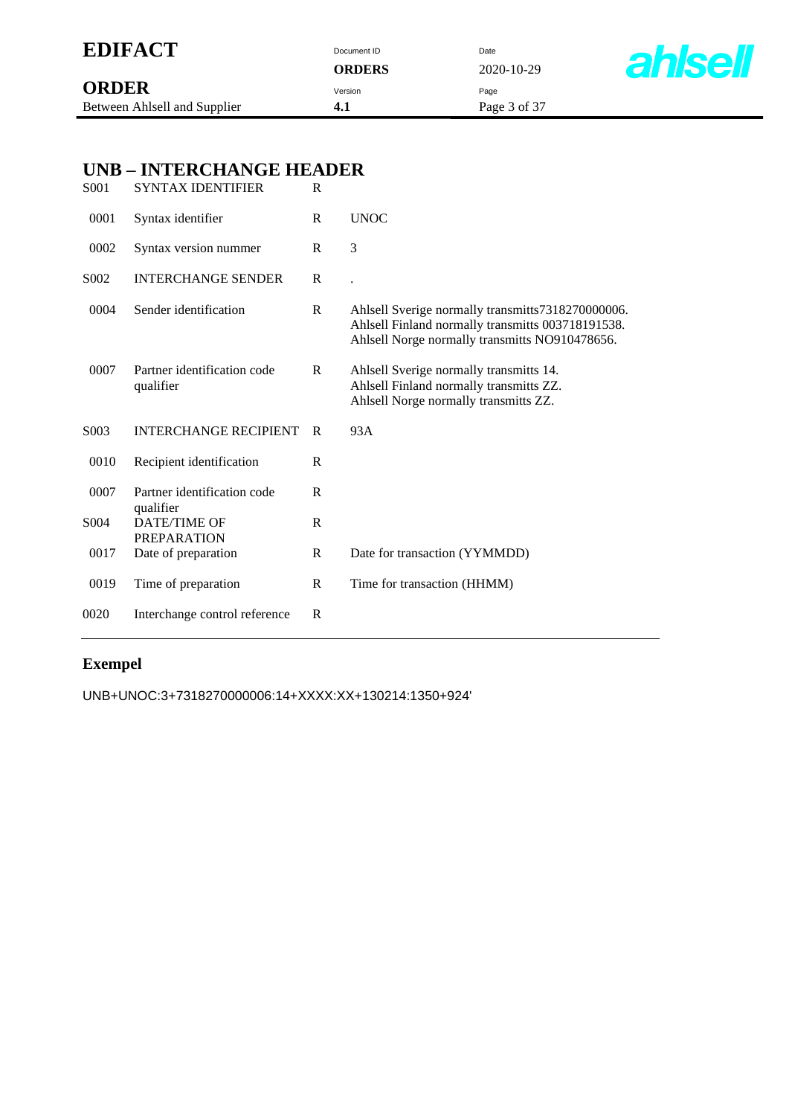| <b>EDIFACT</b>                               |      |                                           | Document ID<br><b>ORDERS</b> | Date<br>2020-10-29                                                                                                          | <b>ahlsel</b>                                                                                                                                            |  |
|----------------------------------------------|------|-------------------------------------------|------------------------------|-----------------------------------------------------------------------------------------------------------------------------|----------------------------------------------------------------------------------------------------------------------------------------------------------|--|
| <b>ORDER</b><br>Between Ahlsell and Supplier |      |                                           |                              | Version<br>4.1                                                                                                              | Page<br>Page 3 of 37                                                                                                                                     |  |
|                                              |      |                                           |                              |                                                                                                                             |                                                                                                                                                          |  |
|                                              |      | <b>UNB-INTERCHANGE HEADER</b>             |                              |                                                                                                                             |                                                                                                                                                          |  |
|                                              | S001 | <b>SYNTAX IDENTIFIER</b>                  | $\mathbf R$                  |                                                                                                                             |                                                                                                                                                          |  |
|                                              | 0001 | Syntax identifier                         | $\mathbf R$                  | <b>UNOC</b>                                                                                                                 |                                                                                                                                                          |  |
|                                              | 0002 | Syntax version nummer                     | $\mathbf R$                  | 3                                                                                                                           |                                                                                                                                                          |  |
|                                              | S002 | <b>INTERCHANGE SENDER</b>                 | $\mathbf R$                  |                                                                                                                             |                                                                                                                                                          |  |
|                                              | 0004 | Sender identification                     | $\mathbf R$                  |                                                                                                                             | Ahlsell Sverige normally transmitts7318270000006.<br>Ahlsell Finland normally transmitts 003718191538.<br>Ahlsell Norge normally transmitts NO910478656. |  |
|                                              | 0007 | Partner identification code<br>qualifier  | $\mathbb{R}$                 | Ahlsell Sverige normally transmitts 14.<br>Ahlsell Finland normally transmitts ZZ.<br>Ahlsell Norge normally transmitts ZZ. |                                                                                                                                                          |  |
|                                              | S003 | <b>INTERCHANGE RECIPIENT</b>              | $\mathbf R$                  | 93A                                                                                                                         |                                                                                                                                                          |  |
|                                              | 0010 | Recipient identification                  | $\mathbb{R}$                 |                                                                                                                             |                                                                                                                                                          |  |
|                                              | 0007 | Partner identification code               | ${\bf R}$                    |                                                                                                                             |                                                                                                                                                          |  |
|                                              | S004 | qualifier<br><b>DATE/TIME OF</b>          | ${\bf R}$                    |                                                                                                                             |                                                                                                                                                          |  |
|                                              | 0017 | <b>PREPARATION</b><br>Date of preparation | ${\bf R}$                    | Date for transaction (YYMMDD)                                                                                               |                                                                                                                                                          |  |
|                                              | 0019 | Time of preparation                       | $\mathbb{R}$                 | Time for transaction (HHMM)                                                                                                 |                                                                                                                                                          |  |
|                                              | 0020 | Interchange control reference             | $\mathbb{R}$                 |                                                                                                                             |                                                                                                                                                          |  |

# **Exempel**

UNB+UNOC:3+7318270000006:14+XXXX:XX+130214:1350+924'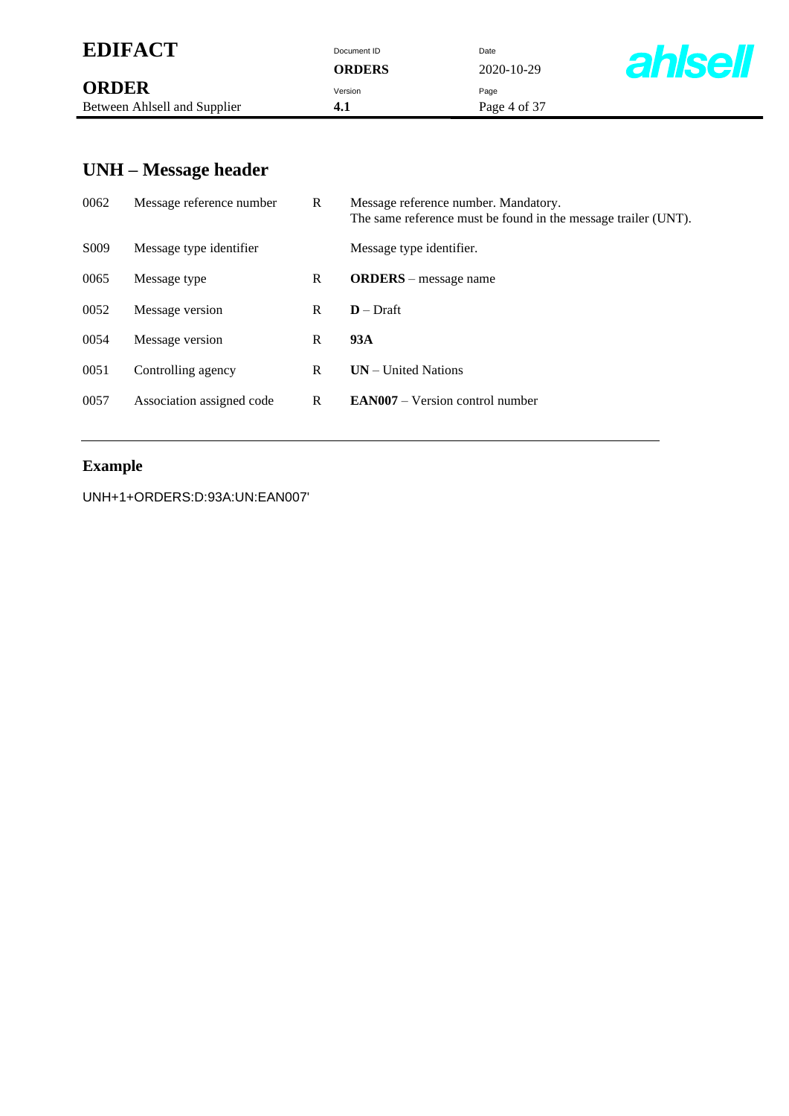| <b>EDIFACT</b> | Document ID | Date |
|----------------|-------------|------|
|                |             |      |

|                              | -------- | ---  |
|------------------------------|----------|------|
| <b>ORDER</b>                 | Version  | Paɑe |
| Between Ahlsell and Supplier |          | Pag  |

**ORDERS** 2020-10-29 **4.1** Page 4 of 37



# **UNH – Message header**

| 0062              | Message reference number  | R | Message reference number. Mandatory.<br>The same reference must be found in the message trailer (UNT). |
|-------------------|---------------------------|---|--------------------------------------------------------------------------------------------------------|
| S <sub>0</sub> 09 | Message type identifier   |   | Message type identifier.                                                                               |
| 0065              | Message type              | R | <b>ORDERS</b> – message name                                                                           |
| 0052              | Message version           | R | $D$ – Draft                                                                                            |
| 0054              | Message version           | R | 93A                                                                                                    |
| 0051              | Controlling agency        | R | $UN - United Nations$                                                                                  |
| 0057              | Association assigned code | R | $EAN007 - Version control number$                                                                      |
|                   |                           |   |                                                                                                        |

### **Example**

UNH+1+ORDERS:D:93A:UN:EAN007'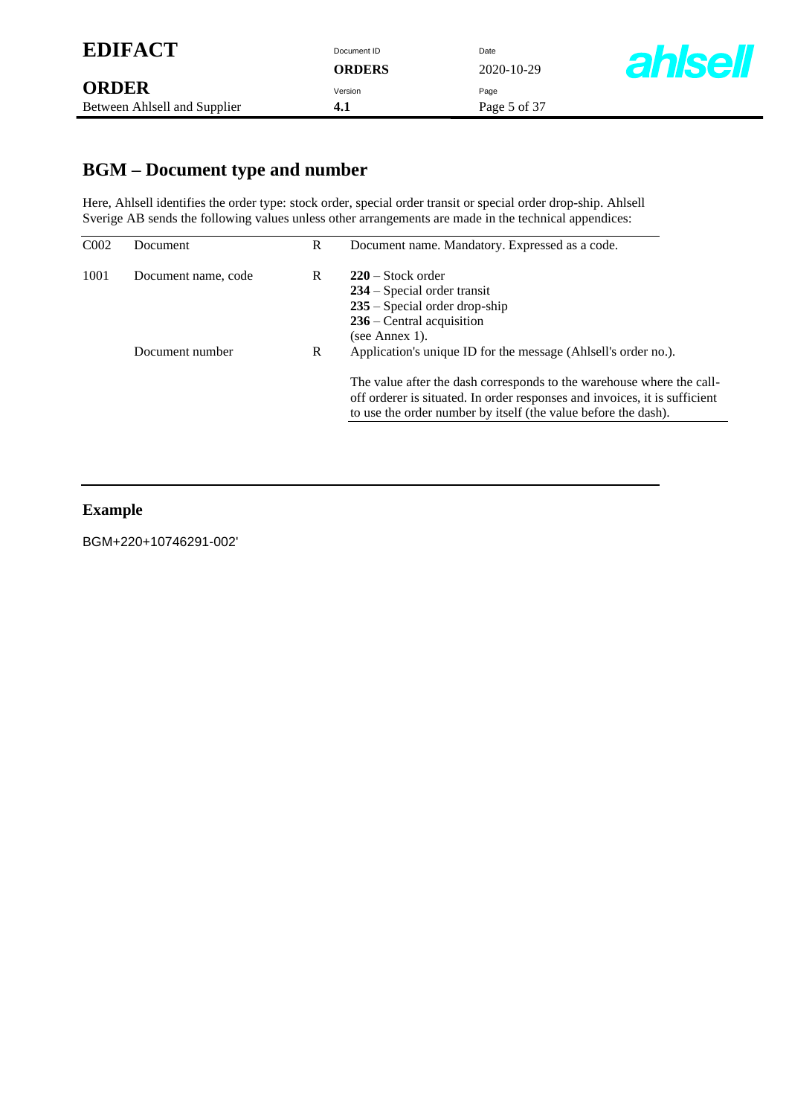### **BGM – Document type and number**

Here, Ahlsell identifies the order type: stock order, special order transit or special order drop-ship. Ahlsell Sverige AB sends the following values unless other arrangements are made in the technical appendices:

| CO <sub>02</sub> | Document            | R | Document name. Mandatory. Expressed as a code.                                                                                                                                                                        |
|------------------|---------------------|---|-----------------------------------------------------------------------------------------------------------------------------------------------------------------------------------------------------------------------|
| 1001             | Document name, code | R | $220$ – Stock order<br>$234$ – Special order transit<br>$235$ – Special order drop-ship<br>$236$ – Central acquisition<br>(see Annex 1).                                                                              |
|                  | Document number     | R | Application's unique ID for the message (Ahlsell's order no.).                                                                                                                                                        |
|                  |                     |   | The value after the dash corresponds to the warehouse where the call-<br>off orderer is situated. In order responses and invoices, it is sufficient<br>to use the order number by itself (the value before the dash). |

#### **Example**

BGM+220+10746291-002'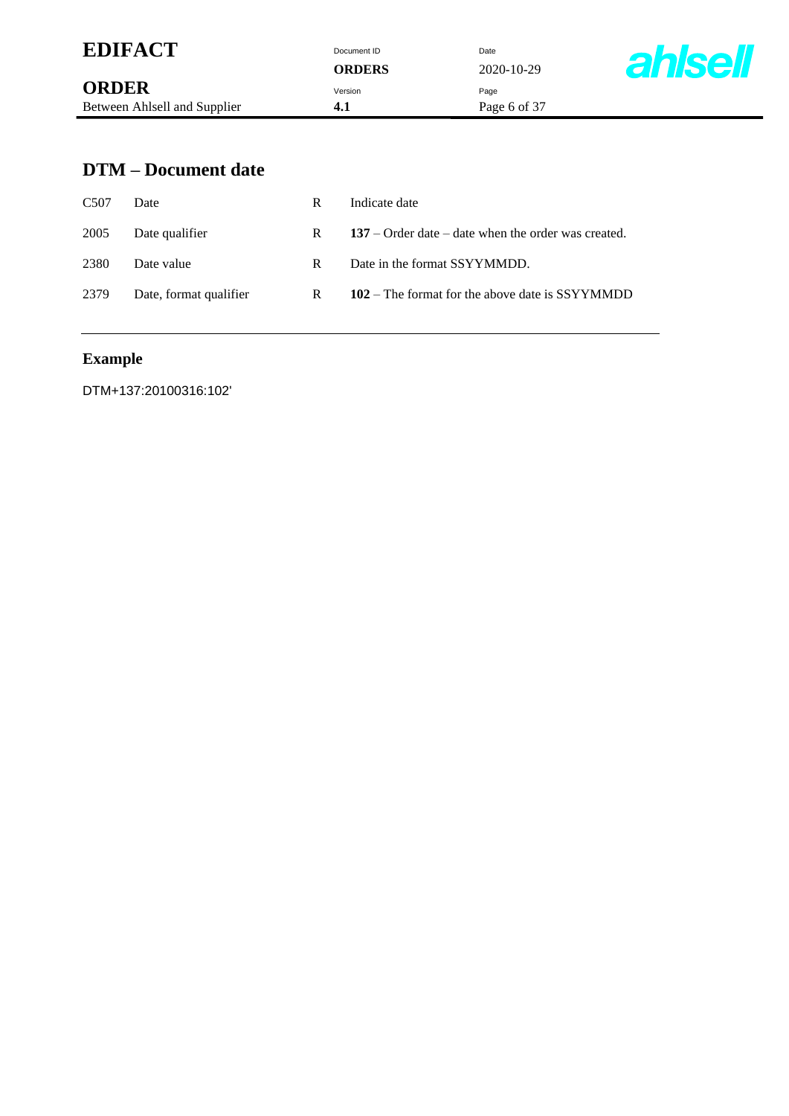| <b>EDIFACT</b>               | Document ID<br><b>ORDERS</b> | Date<br>2020-10-29 | <b>ahlsell</b> |
|------------------------------|------------------------------|--------------------|----------------|
| <b>ORDER</b>                 | Version                      | Page               |                |
| Between Ahlsell and Supplier | 4.1                          | Page 6 of 37       |                |

### **DTM – Document date**

| C <sub>507</sub> | Date                   | R | Indicate date                                         |
|------------------|------------------------|---|-------------------------------------------------------|
| 2005             | Date qualifier         | R | $137$ – Order date – date when the order was created. |
| 2380             | Date value             | R | Date in the format SSYYMMDD.                          |
| 2379             | Date, format qualifier | R | 102 – The format for the above date is SSYYMMDD       |

# **Example**

DTM+137:20100316:102'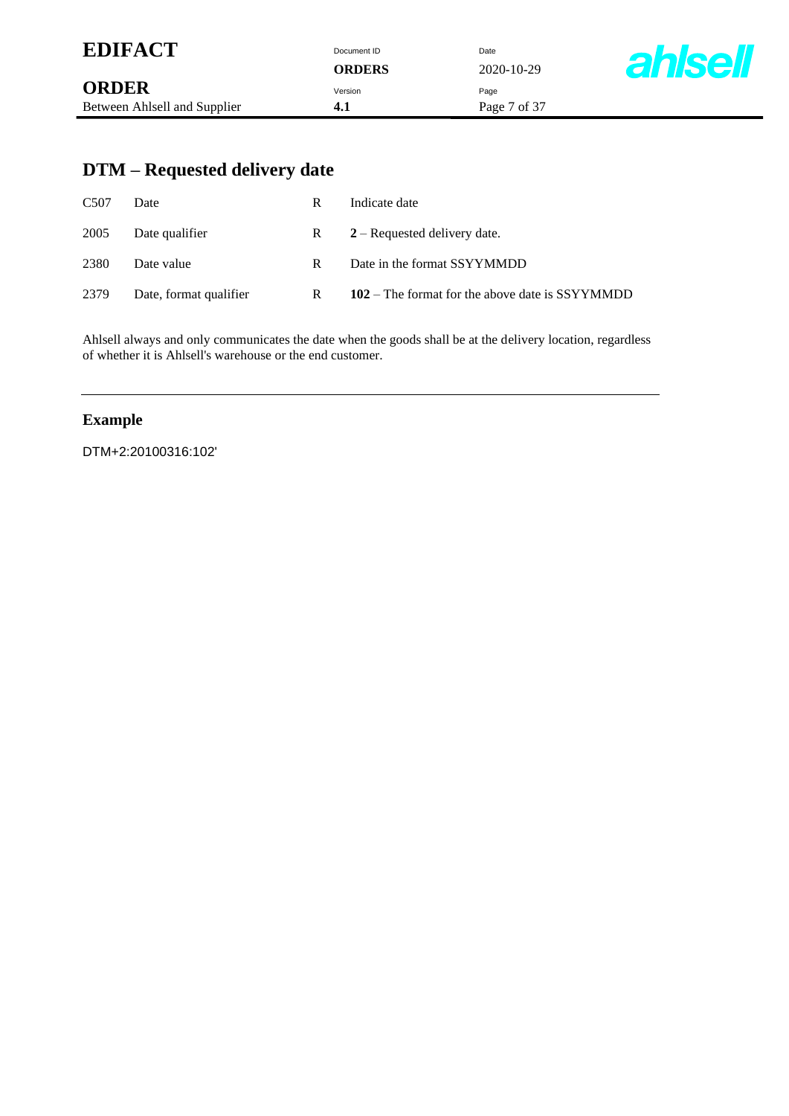| <b>EDIFACT</b>               | Document ID   | Date         |                |
|------------------------------|---------------|--------------|----------------|
|                              | <b>ORDERS</b> | 2020-10-29   | <b>ahlsell</b> |
| <b>ORDER</b>                 | Version       | Page         |                |
| Between Ahlsell and Supplier | 4.1           | Page 7 of 37 |                |

# **DTM – Requested delivery date**

| C <sub>507</sub> | Date                   | R | Indicate date                                   |
|------------------|------------------------|---|-------------------------------------------------|
| 2005             | Date qualifier         | R | $2 -$ Requested delivery date.                  |
| 2380             | Date value             | R | Date in the format SSYYMMDD                     |
| 2379             | Date, format qualifier | R | 102 – The format for the above date is SSYYMMDD |

Ahlsell always and only communicates the date when the goods shall be at the delivery location, regardless of whether it is Ahlsell's warehouse or the end customer.

#### **Example**

DTM+2:20100316:102'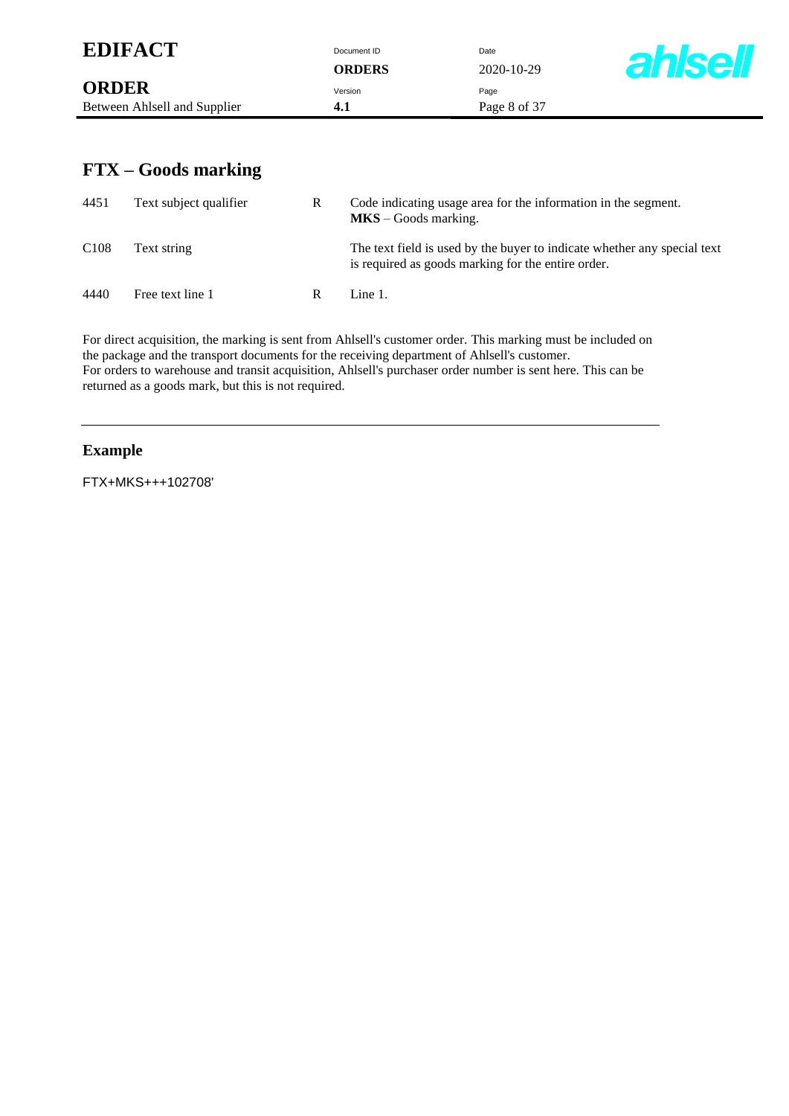| <b>EDIFACT</b>                                          |     | Document ID<br><b>ORDERS</b> | Date<br>$2020 - 10 - 29$                                       | <b>ahlsell</b> |
|---------------------------------------------------------|-----|------------------------------|----------------------------------------------------------------|----------------|
| <b>ORDER</b><br>Between Ahlsell and Supplier            | 4.1 | Version                      | Page<br>Page 8 of 37                                           |                |
| $FTX - Goods$ marking<br>4451<br>Text subject qualifier | R   | $MKS - Goods$ marking.       | Code indicating usage area for the information in the segment. |                |

C108 Text string The text field is used by the buyer to indicate whether any special text

is required as goods marking for the entire order.

4440 Free text line 1 R Line 1.

For direct acquisition, the marking is sent from Ahlsell's customer order. This marking must be included on the package and the transport documents for the receiving department of Ahlsell's customer. For orders to warehouse and transit acquisition, Ahlsell's purchaser order number is sent here. This can be returned as a goods mark, but this is not required.

#### **Example**

FTX+MKS+++102708'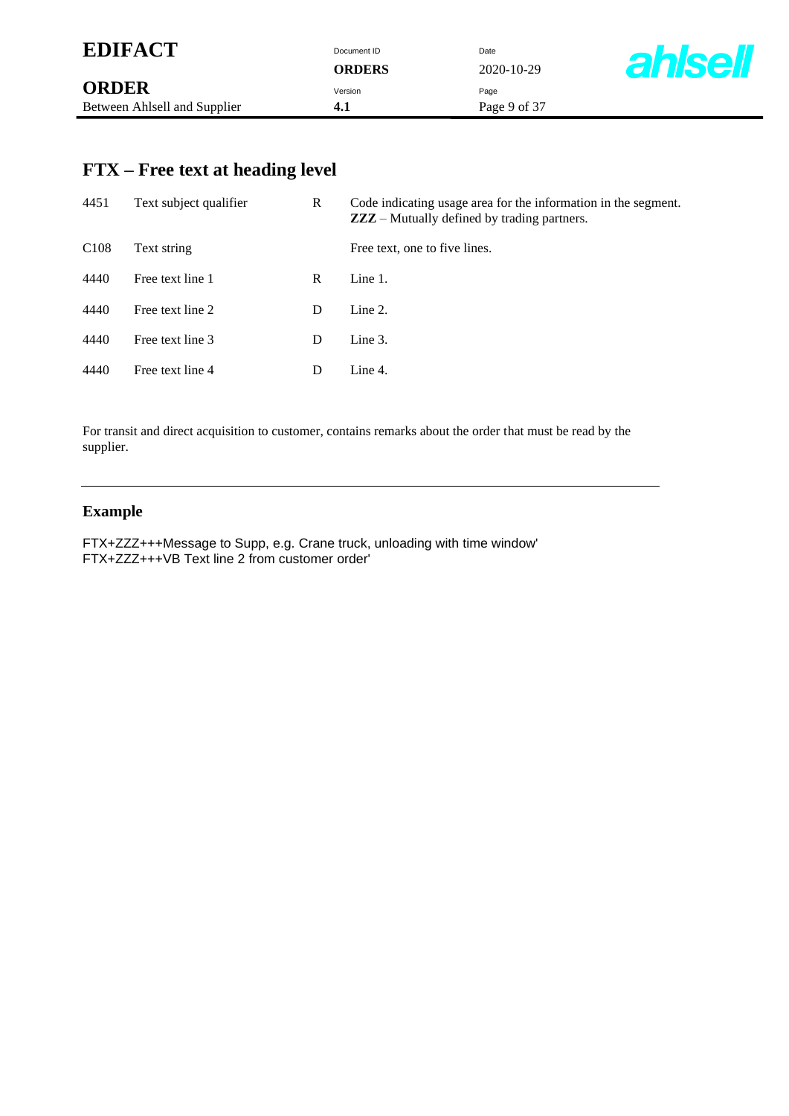| <b>EDIFACT</b>               | Document ID   | Date         |                |
|------------------------------|---------------|--------------|----------------|
|                              | <b>ORDERS</b> | 2020-10-29   | <b>ahlsell</b> |
| <b>ORDER</b>                 | Version       | Page         |                |
| Between Ahlsell and Supplier | 4.1           | Page 9 of 37 |                |

# **FTX – Free text at heading level**

| 4451             | Text subject qualifier | R | Code indicating usage area for the information in the segment.<br><b>ZZZ</b> – Mutually defined by trading partners. |
|------------------|------------------------|---|----------------------------------------------------------------------------------------------------------------------|
| C <sub>108</sub> | Text string            |   | Free text, one to five lines.                                                                                        |
| 4440             | Free text line 1       | R | Line $1$ .                                                                                                           |
| 4440             | Free text line 2       | D | Line $2$ .                                                                                                           |
| 4440             | Free text line 3       | D | Line 3.                                                                                                              |
| 4440             | Free text line 4       | D | Line 4.                                                                                                              |

For transit and direct acquisition to customer, contains remarks about the order that must be read by the supplier.

### **Example**

FTX+ZZZ+++Message to Supp, e.g. Crane truck, unloading with time window' FTX+ZZZ+++VB Text line 2 from customer order'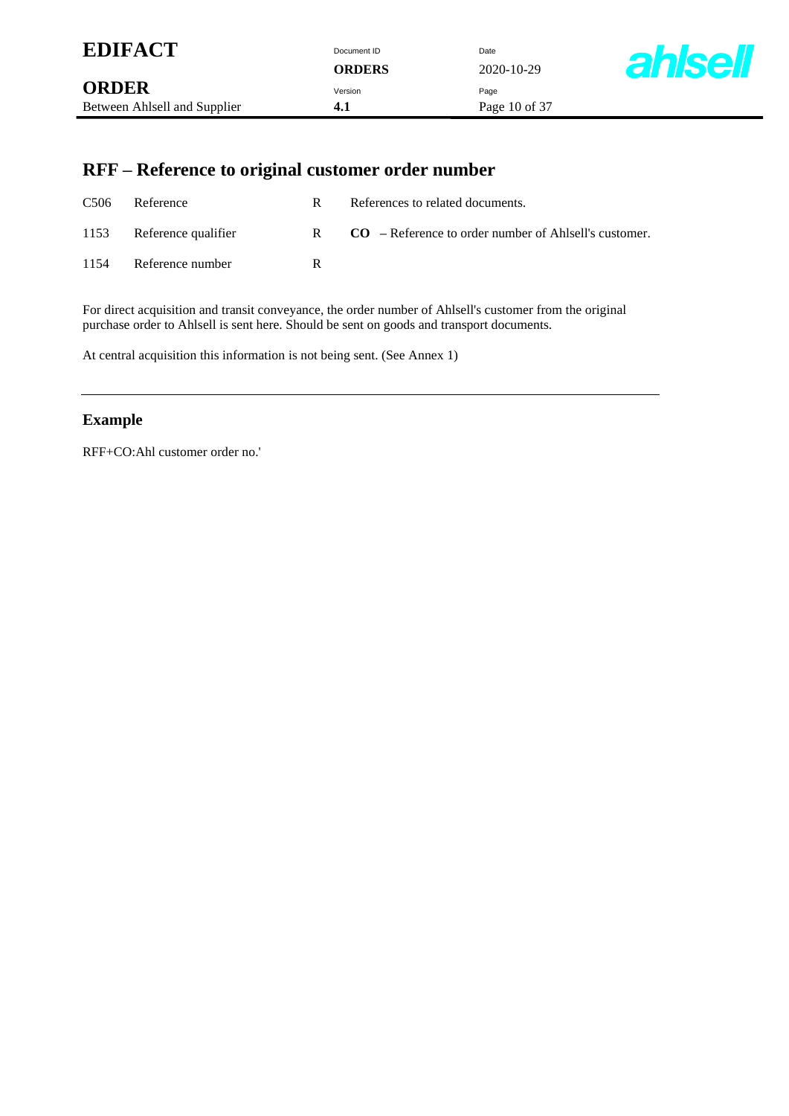| <b>EDIFACT</b>               | Document ID   | Date            |                |
|------------------------------|---------------|-----------------|----------------|
|                              | <b>ORDERS</b> | 2020-10-29      | <b>ahlsell</b> |
| <b>ORDER</b>                 | Version       | Page            |                |
| Between Ahlsell and Supplier | 4.1           | Page 10 of $37$ |                |

# **RFF – Reference to original customer order number**

| C <sub>506</sub> | Reference           | R | References to related documents.                        |
|------------------|---------------------|---|---------------------------------------------------------|
| 1153             | Reference qualifier | R | $CO$ – Reference to order number of Ahlsell's customer. |
| 1154             | Reference number    | R |                                                         |

For direct acquisition and transit conveyance, the order number of Ahlsell's customer from the original purchase order to Ahlsell is sent here. Should be sent on goods and transport documents.

At central acquisition this information is not being sent. (See Annex 1)

#### **Example**

RFF+CO:Ahl customer order no.'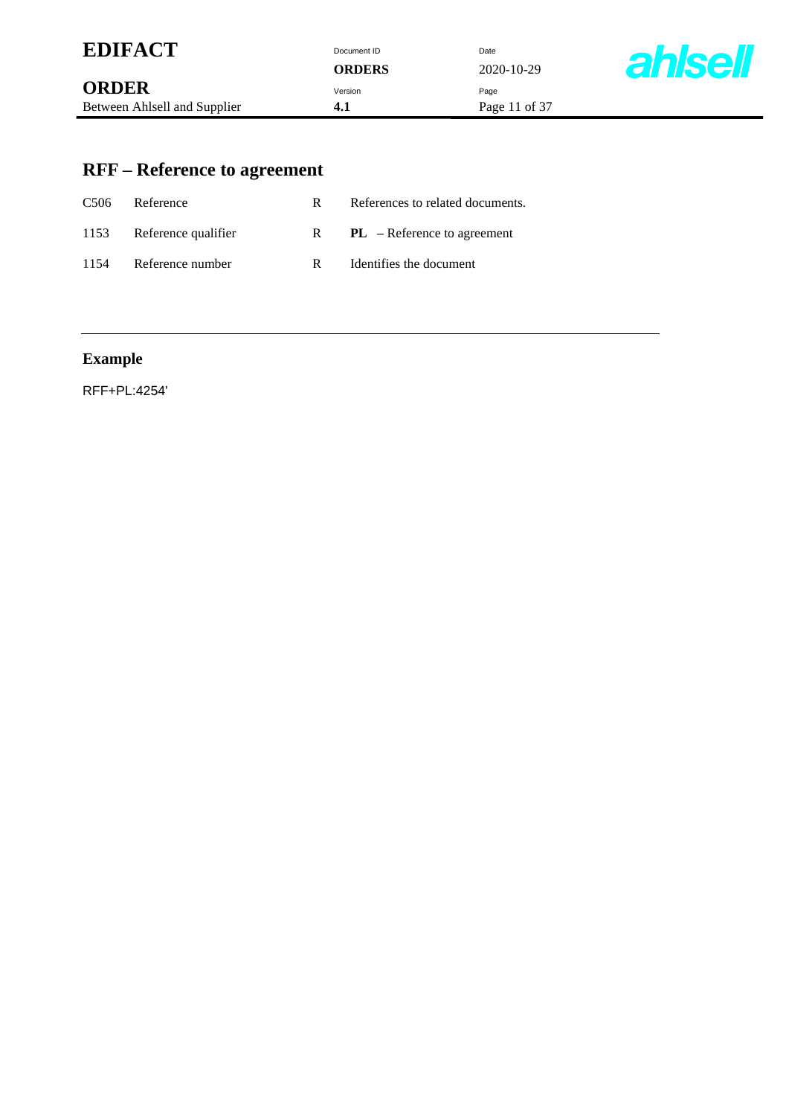| <b>EDIFACT</b> | Document ID    |            |
|----------------|----------------|------------|
|                | $\alpha$ ppend | <b>000</b> |

| <b>EDIFACI</b>               | Document ID   | Date          |
|------------------------------|---------------|---------------|
|                              | <b>ORDERS</b> | 2020-10-29    |
| <b>ORDER</b>                 | Version       | Page          |
| Between Ahlsell and Supplier | 4.1           | Page 11 of 37 |
|                              |               |               |



# **RFF – Reference to agreement**

| C <sub>506</sub> | Reference           | R. | References to related documents. |
|------------------|---------------------|----|----------------------------------|
| 1153             | Reference qualifier | R  | $PL$ – Reference to agreement    |
| 1154             | Reference number    | R  | Identifies the document          |

# **Example**

RFF+PL:4254'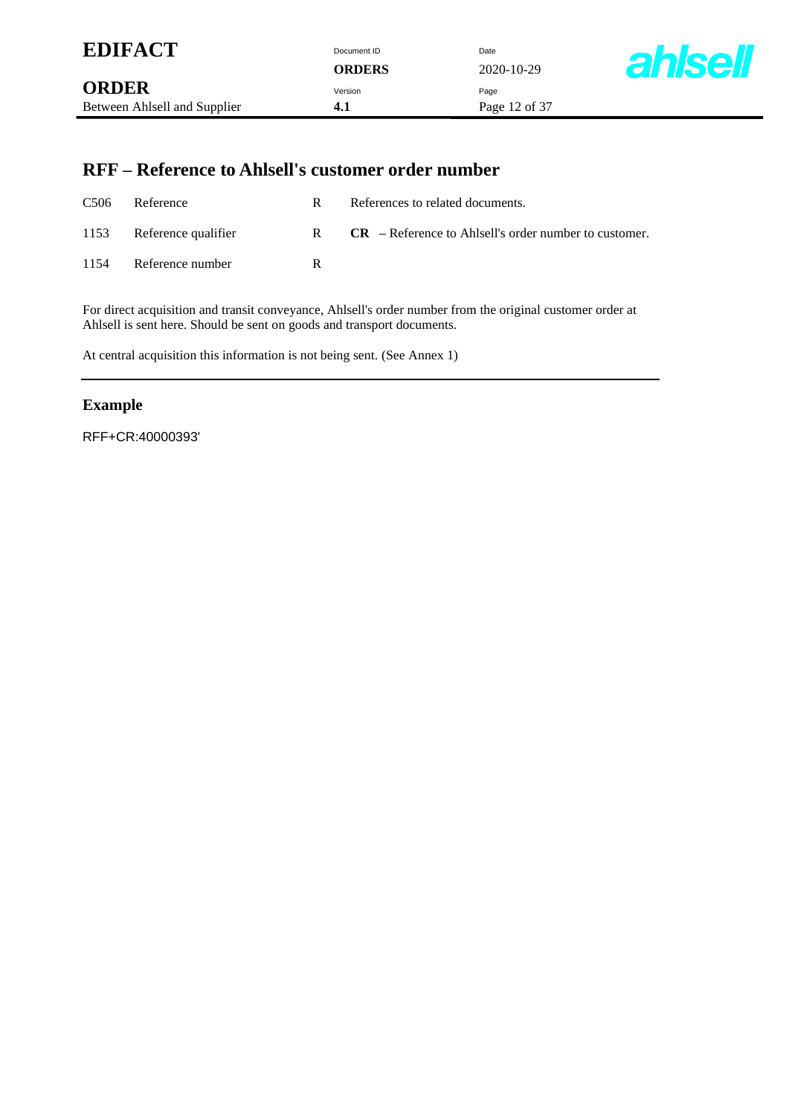| <b>EDIFACT</b>               | Document ID<br>ORDERS | Date<br>2020-10-29 | <b>ahlsell</b> |
|------------------------------|-----------------------|--------------------|----------------|
| <b>ORDER</b>                 | Version               | Page               |                |
| Between Ahlsell and Supplier | 4.1                   | Page 12 of 37      |                |

### **RFF – Reference to Ahlsell's customer order number**

| C <sub>506</sub> | Reference                | R. | References to related documents.                        |
|------------------|--------------------------|----|---------------------------------------------------------|
|                  | 1153 Reference qualifier | R  | $CR$ – Reference to Ahlsell's order number to customer. |
| 1154             | Reference number         | R  |                                                         |

For direct acquisition and transit conveyance, Ahlsell's order number from the original customer order at Ahlsell is sent here. Should be sent on goods and transport documents.

At central acquisition this information is not being sent. (See Annex 1)

#### **Example**

RFF+CR:40000393'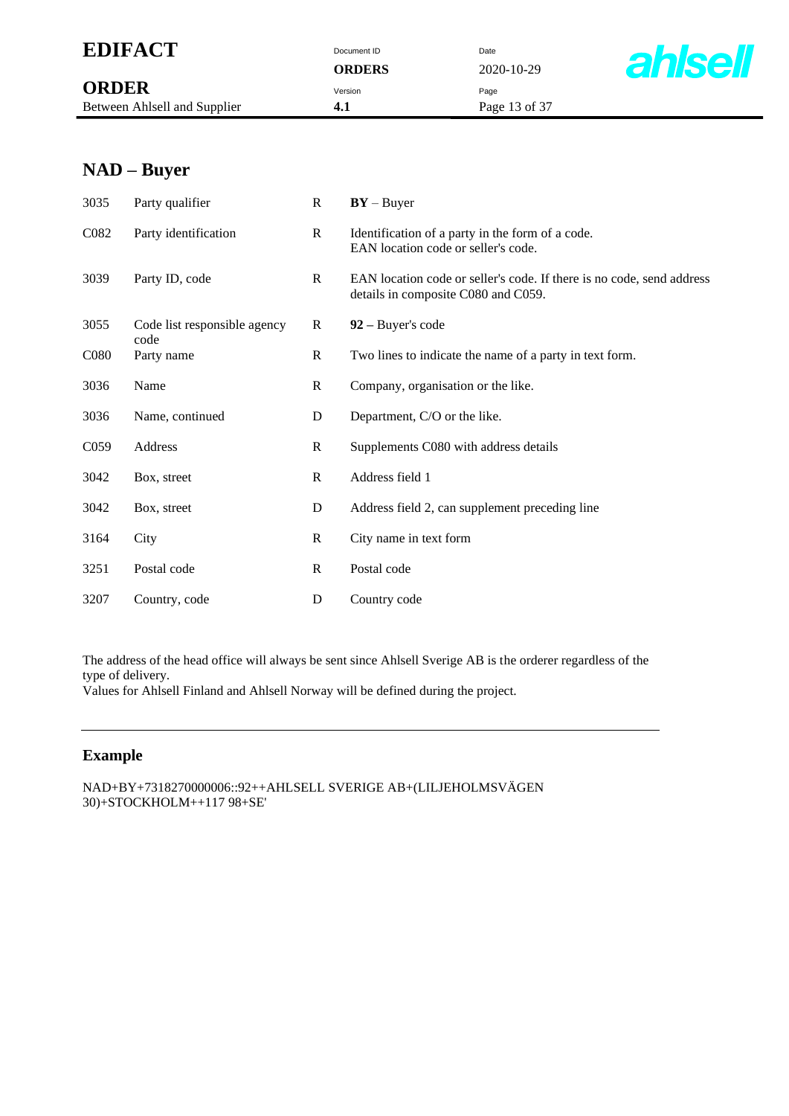## **EDIFACT** Document ID Date

**ORDER** Version Page Between Ahlsell and Supplier **4.1** Page 13 of 37

**ORDERS** 2020-10-29



### **NAD – Buyer**

| 3035              | Party qualifier                      | $\mathbf{R}$ | $BY - Buyer$                                                                                                 |
|-------------------|--------------------------------------|--------------|--------------------------------------------------------------------------------------------------------------|
| C <sub>0</sub> 82 | Party identification                 | $\mathbf R$  | Identification of a party in the form of a code.<br>EAN location code or seller's code.                      |
| 3039              | Party ID, code                       | R            | EAN location code or seller's code. If there is no code, send address<br>details in composite C080 and C059. |
| 3055              | Code list responsible agency<br>code | $\bf{R}$     | $92 - Buyer's code$                                                                                          |
| C <sub>0</sub> 80 | Party name                           | $\mathbf R$  | Two lines to indicate the name of a party in text form.                                                      |
| 3036              | Name                                 | $\mathbf{R}$ | Company, organisation or the like.                                                                           |
| 3036              | Name, continued                      | D            | Department, C/O or the like.                                                                                 |
| C <sub>059</sub>  | Address                              | R            | Supplements C080 with address details                                                                        |
| 3042              | Box, street                          | $\mathbf{R}$ | Address field 1                                                                                              |
| 3042              | Box, street                          | D            | Address field 2, can supplement preceding line                                                               |
| 3164              | City                                 | $\mathbf R$  | City name in text form                                                                                       |
| 3251              | Postal code                          | $\mathbf{R}$ | Postal code                                                                                                  |
| 3207              | Country, code                        | D            | Country code                                                                                                 |

The address of the head office will always be sent since Ahlsell Sverige AB is the orderer regardless of the type of delivery.

Values for Ahlsell Finland and Ahlsell Norway will be defined during the project.

#### **Example**

NAD+BY+7318270000006::92++AHLSELL SVERIGE AB+(LILJEHOLMSVÄGEN 30)+STOCKHOLM++117 98+SE'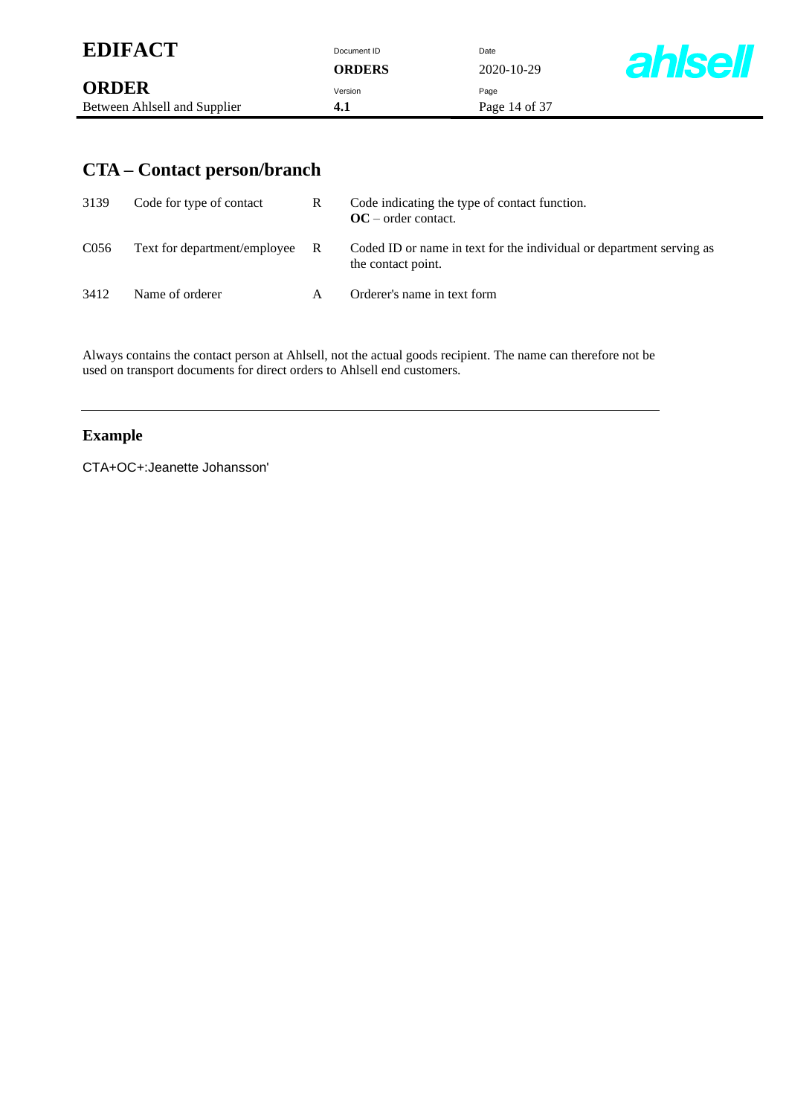| <b>EDIFACT</b>               | Document ID | Date          |               |
|------------------------------|-------------|---------------|---------------|
|                              | ORDERS      | 2020-10-29    | <b>ahlsel</b> |
| <b>ORDER</b>                 | Version     | Page          |               |
| Between Ahlsell and Supplier | 4.1         | Page 14 of 37 |               |

# **CTA – Contact person/branch**

| 3139             | Code for type of contact       | R | Code indicating the type of contact function.<br>$OC$ – order contact.                     |
|------------------|--------------------------------|---|--------------------------------------------------------------------------------------------|
| C <sub>056</sub> | Text for department/employee R |   | Coded ID or name in text for the individual or department serving as<br>the contact point. |
| 3412             | Name of orderer                | А | Orderer's name in text form                                                                |

Always contains the contact person at Ahlsell, not the actual goods recipient. The name can therefore not be used on transport documents for direct orders to Ahlsell end customers.

### **Example**

CTA+OC+:Jeanette Johansson'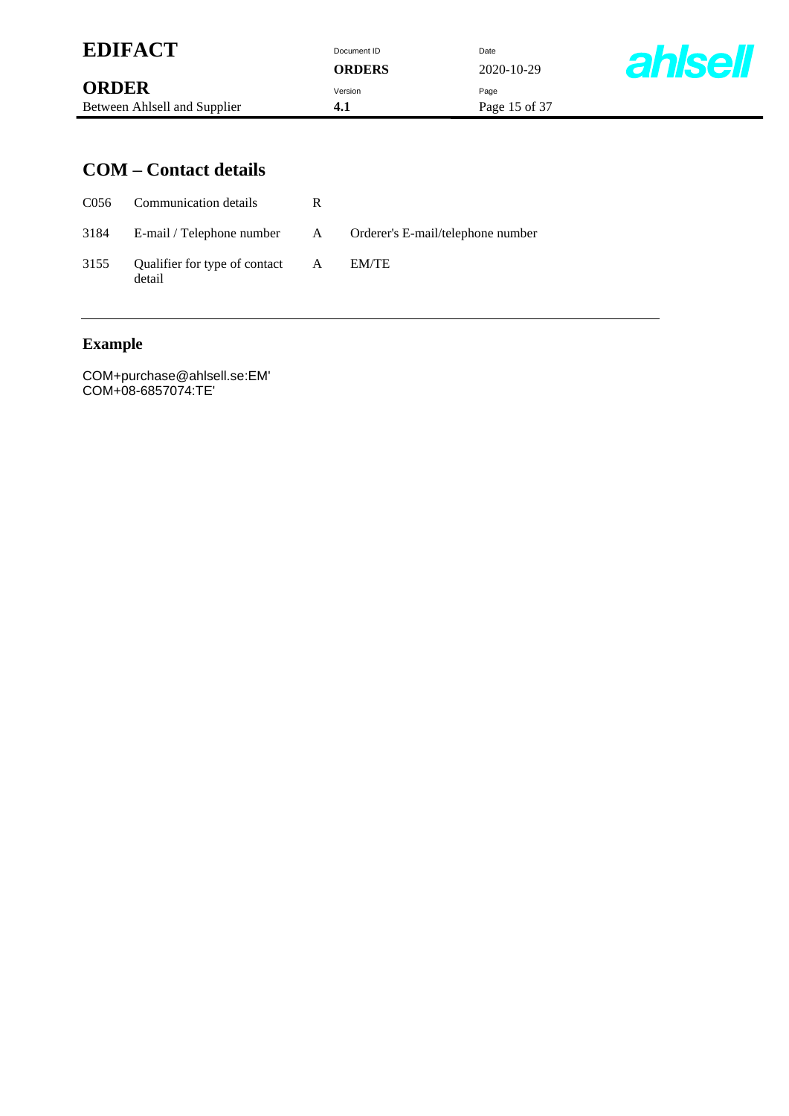| <b>EDIFACT</b>               | Document ID<br><b>ORDERS</b> | Date<br>2020-10-29 | <b>ahlsel</b> |
|------------------------------|------------------------------|--------------------|---------------|
| <b>ORDER</b>                 | Version                      | Page               |               |
| Between Ahlsell and Supplier | 4.1                          | Page 15 of 37      |               |

### **COM – Contact details**

|      | C056 Communication details                | R |                                                                    |
|------|-------------------------------------------|---|--------------------------------------------------------------------|
|      |                                           |   | 3184 E-mail / Telephone number A Orderer's E-mail/telephone number |
| 3155 | Qualifier for type of contact A<br>detail |   | EM/TE                                                              |

# **Example**

COM+purchase@ahlsell.se:EM' COM+08-6857074:TE'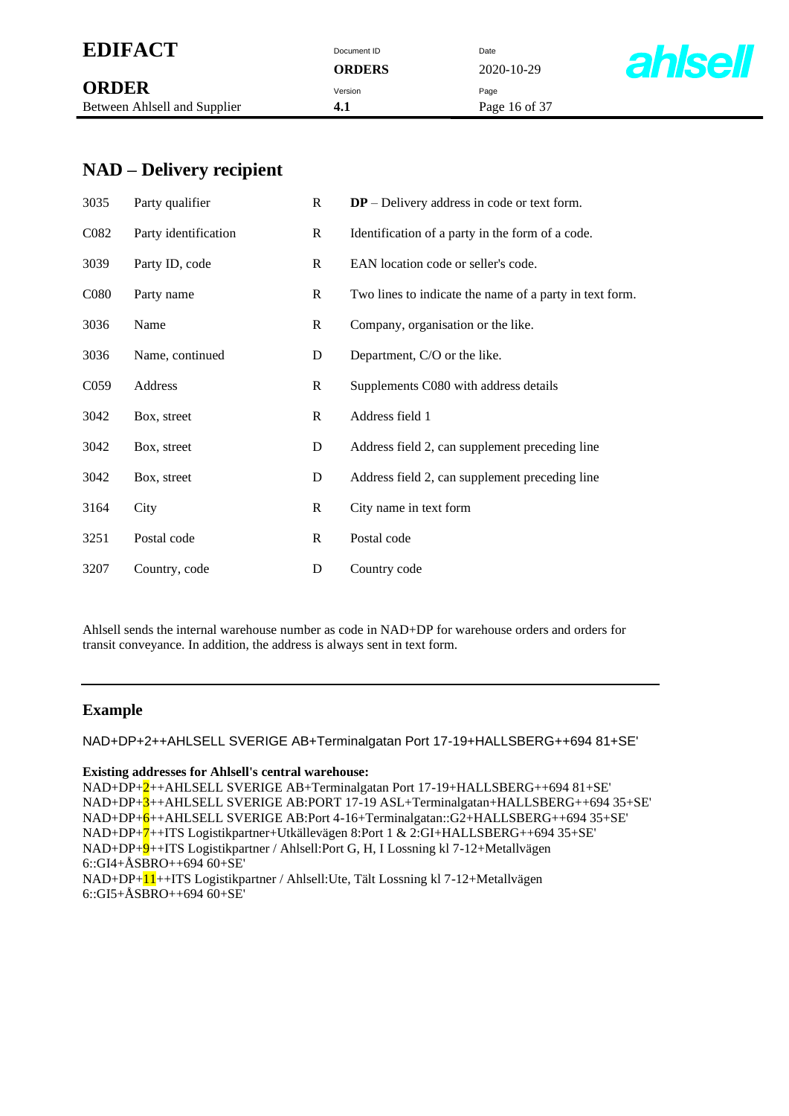| <b>EDIFACT</b> | Document ID | Date |
|----------------|-------------|------|
|                |             |      |

|                              | <b>VIWEIW</b> | $\overline{\phantom{a}}$ |
|------------------------------|---------------|--------------------------|
| <b>ORDER</b>                 | Version       | Page                     |
| Between Ahlsell and Supplier | 4.1           | Pag                      |

**ORDERS** 2020-10-29

**4.1** Page 16 of 37



### **NAD – Delivery recipient**

| 3035              | Party qualifier      | $\mathbf R$ | $DP$ – Delivery address in code or text form.           |
|-------------------|----------------------|-------------|---------------------------------------------------------|
| C <sub>082</sub>  | Party identification | $\bf{R}$    | Identification of a party in the form of a code.        |
| 3039              | Party ID, code       | R           | EAN location code or seller's code.                     |
| C <sub>0</sub> 80 | Party name           | $\bf{R}$    | Two lines to indicate the name of a party in text form. |
| 3036              | Name                 | $\bf{R}$    | Company, organisation or the like.                      |
| 3036              | Name, continued      | D           | Department, C/O or the like.                            |
| C <sub>059</sub>  | Address              | R           | Supplements C080 with address details                   |
| 3042              | Box, street          | $\mathbf R$ | Address field 1                                         |
| 3042              | Box, street          | D           | Address field 2, can supplement preceding line          |
| 3042              | Box, street          | D           | Address field 2, can supplement preceding line          |
| 3164              | City                 | $\mathbf R$ | City name in text form                                  |
| 3251              | Postal code          | $\mathbf R$ | Postal code                                             |
| 3207              | Country, code        | D           | Country code                                            |

Ahlsell sends the internal warehouse number as code in NAD+DP for warehouse orders and orders for transit conveyance. In addition, the address is always sent in text form.

#### **Example**

NAD+DP+2++AHLSELL SVERIGE AB+Terminalgatan Port 17-19+HALLSBERG++694 81+SE'

#### **Existing addresses for Ahlsell's central warehouse:**

NAD+DP+2++AHLSELL SVERIGE AB+Terminalgatan Port 17-19+HALLSBERG++694 81+SE' NAD+DP+3++AHLSELL SVERIGE AB:PORT 17-19 ASL+Terminalgatan+HALLSBERG++694 35+SE' NAD+DP+6++AHLSELL SVERIGE AB:Port 4-16+Terminalgatan::G2+HALLSBERG++694 35+SE' NAD+DP+7++ITS Logistikpartner+Utkällevägen 8:Port 1 & 2:GI+HALLSBERG++694 35+SE' NAD+DP+9++ITS Logistikpartner / Ahlsell:Port G, H, I Lossning kl 7-12+Metallvägen 6::GI4+ÅSBRO++694 60+SE' NAD+DP+11++ITS Logistikpartner / Ahlsell:Ute, Tält Lossning kl 7-12+Metallvägen

6::GI5+ÅSBRO++694 60+SE'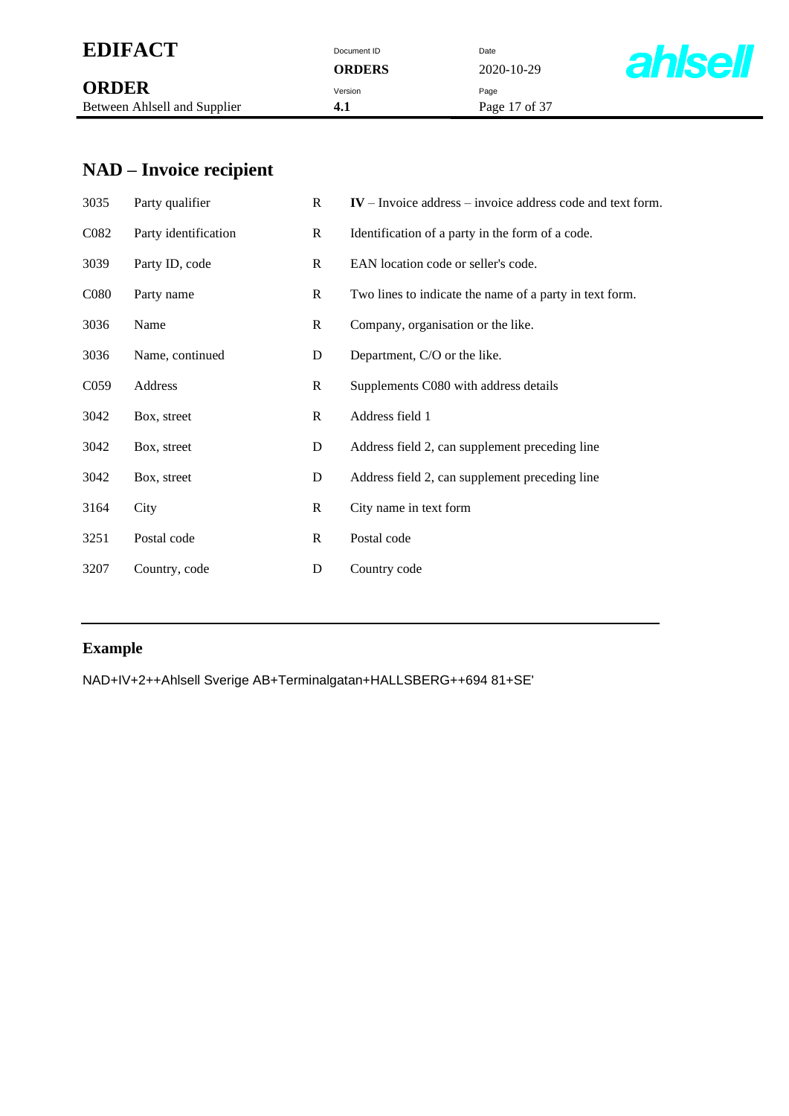# **EDIFACT** Document ID Date Date ORDERS Date 202

|                              | <b>VIWLIW</b> | $\overline{\phantom{a}}$ |
|------------------------------|---------------|--------------------------|
| <b>ORDER</b>                 | Version       | Page                     |
| Between Ahlsell and Supplier | 4.1           | Pag                      |

**ORDERS** 2020-10-29 **4.1** Page 17 of 37



# **NAD – Invoice recipient**

| 3035              | Party qualifier      | R            | $IV$ – Invoice address – invoice address code and text form. |
|-------------------|----------------------|--------------|--------------------------------------------------------------|
| C <sub>0</sub> 82 | Party identification | $\mathbf{R}$ | Identification of a party in the form of a code.             |
| 3039              | Party ID, code       | R            | EAN location code or seller's code.                          |
| C <sub>0</sub> 80 | Party name           | R            | Two lines to indicate the name of a party in text form.      |
| 3036              | Name                 | $\mathbf R$  | Company, organisation or the like.                           |
| 3036              | Name, continued      | D            | Department, C/O or the like.                                 |
| C <sub>059</sub>  | Address              | $\mathbf R$  | Supplements C080 with address details                        |
| 3042              | Box, street          | R            | Address field 1                                              |
| 3042              | Box, street          | D            | Address field 2, can supplement preceding line               |
| 3042              | Box, street          | D            | Address field 2, can supplement preceding line               |
| 3164              | City                 | $\mathbf{R}$ | City name in text form                                       |
| 3251              | Postal code          | $\mathbf R$  | Postal code                                                  |
| 3207              | Country, code        | D            | Country code                                                 |

#### **Example**

NAD+IV+2++Ahlsell Sverige AB+Terminalgatan+HALLSBERG++694 81+SE'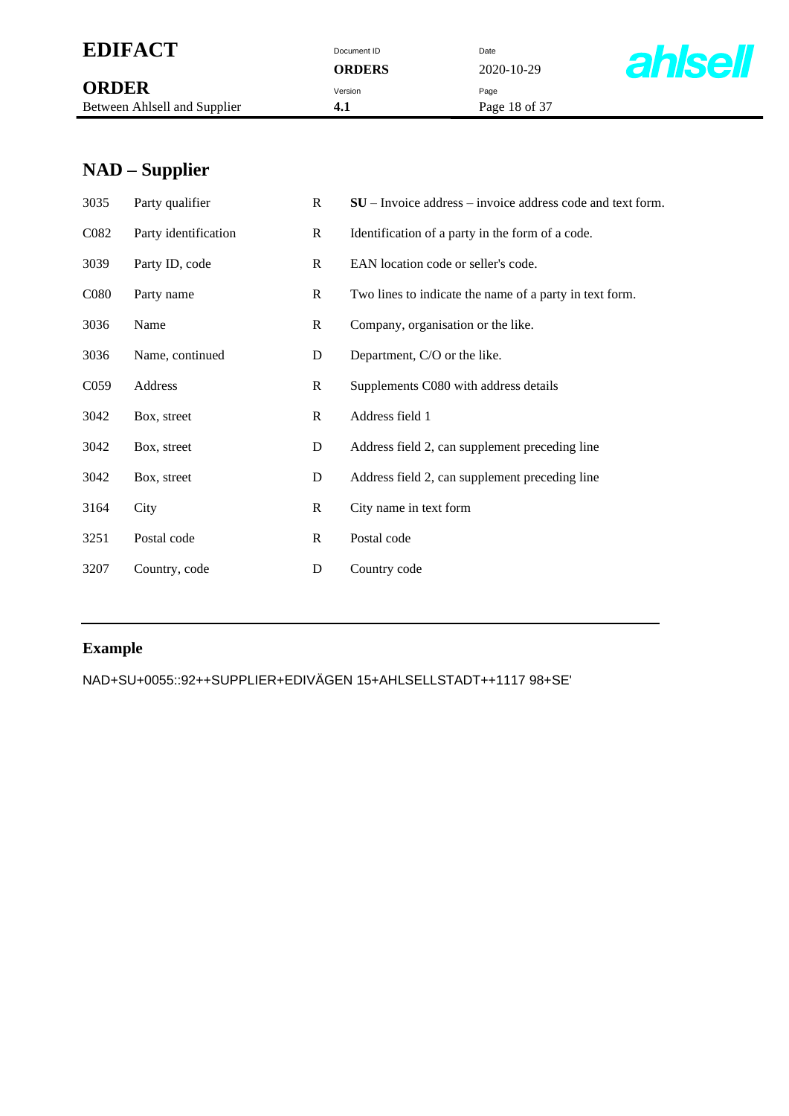# **EDIFACT** Document ID Date Date ORDERS Date 202

|                              | <b>VIWLIW</b> | $\overline{\phantom{a}}$ |
|------------------------------|---------------|--------------------------|
| <b>ORDER</b>                 | Version       | Page                     |
| Between Ahlsell and Supplier | 4.1           | Pag                      |

**ORDERS** 2020-10-29 **4.1** Page 18 of 37



# **NAD – Supplier**

| 3035              | Party qualifier      | R            | $SU$ – Invoice address – invoice address code and text form. |
|-------------------|----------------------|--------------|--------------------------------------------------------------|
| C082              | Party identification | $\mathbf{R}$ | Identification of a party in the form of a code.             |
| 3039              | Party ID, code       | R            | EAN location code or seller's code.                          |
| C <sub>0</sub> 80 | Party name           | $\mathbf R$  | Two lines to indicate the name of a party in text form.      |
| 3036              | Name                 | $\mathbf R$  | Company, organisation or the like.                           |
| 3036              | Name, continued      | D            | Department, C/O or the like.                                 |
| C <sub>059</sub>  | Address              | R            | Supplements C080 with address details                        |
| 3042              | Box, street          | $\mathbf R$  | Address field 1                                              |
| 3042              | Box, street          | D            | Address field 2, can supplement preceding line               |
| 3042              | Box, street          | D            | Address field 2, can supplement preceding line               |
| 3164              | City                 | $\mathbf R$  | City name in text form                                       |
| 3251              | Postal code          | $\mathbf R$  | Postal code                                                  |
| 3207              | Country, code        | D            | Country code                                                 |
|                   |                      |              |                                                              |

### **Example**

NAD+SU+0055::92++SUPPLIER+EDIVÄGEN 15+AHLSELLSTADT++1117 98+SE'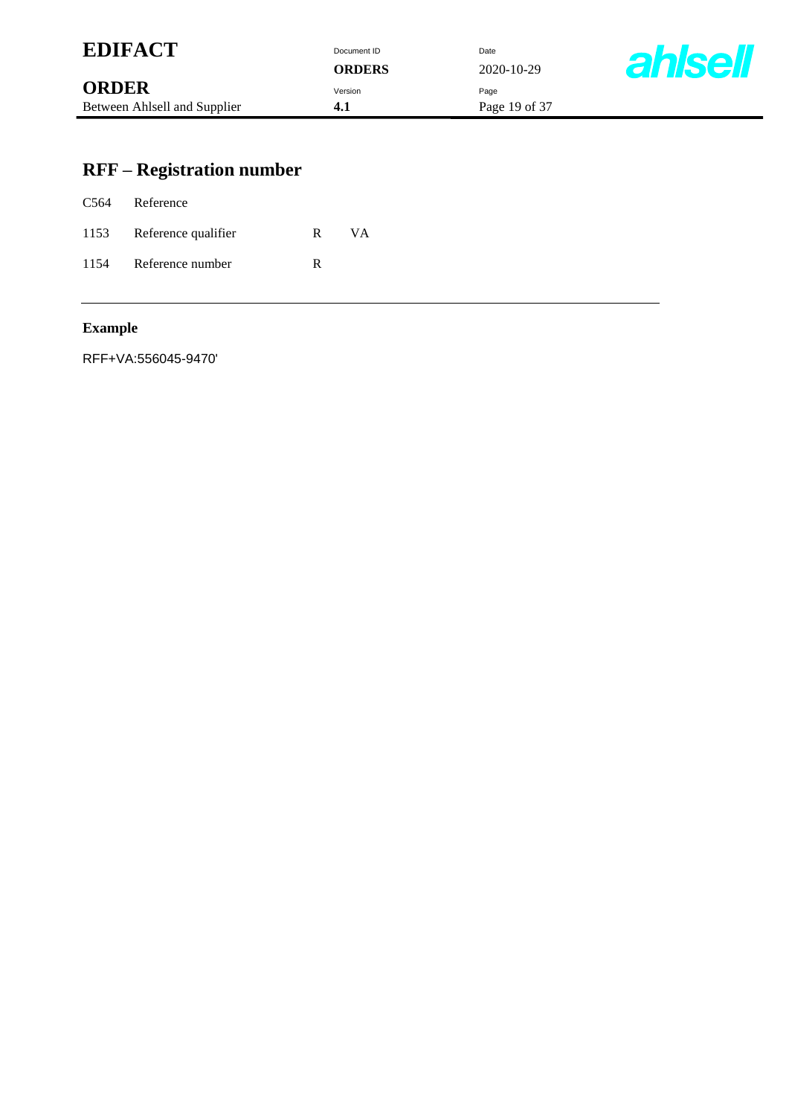| <b>EDIFACT</b>               | Document ID   | Date          |                |
|------------------------------|---------------|---------------|----------------|
|                              | <b>ORDERS</b> | 2020-10-29    | <b>ahlsell</b> |
| <b>ORDER</b>                 | Version       | Page          |                |
| Between Ahlsell and Supplier | 4.1           | Page 19 of 37 |                |

# **RFF – Registration number**

| C564 Reference           |   |           |
|--------------------------|---|-----------|
| 1153 Reference qualifier | R | <b>VA</b> |
| 1154 Reference number    | R |           |

### **Example**

RFF+VA:556045-9470'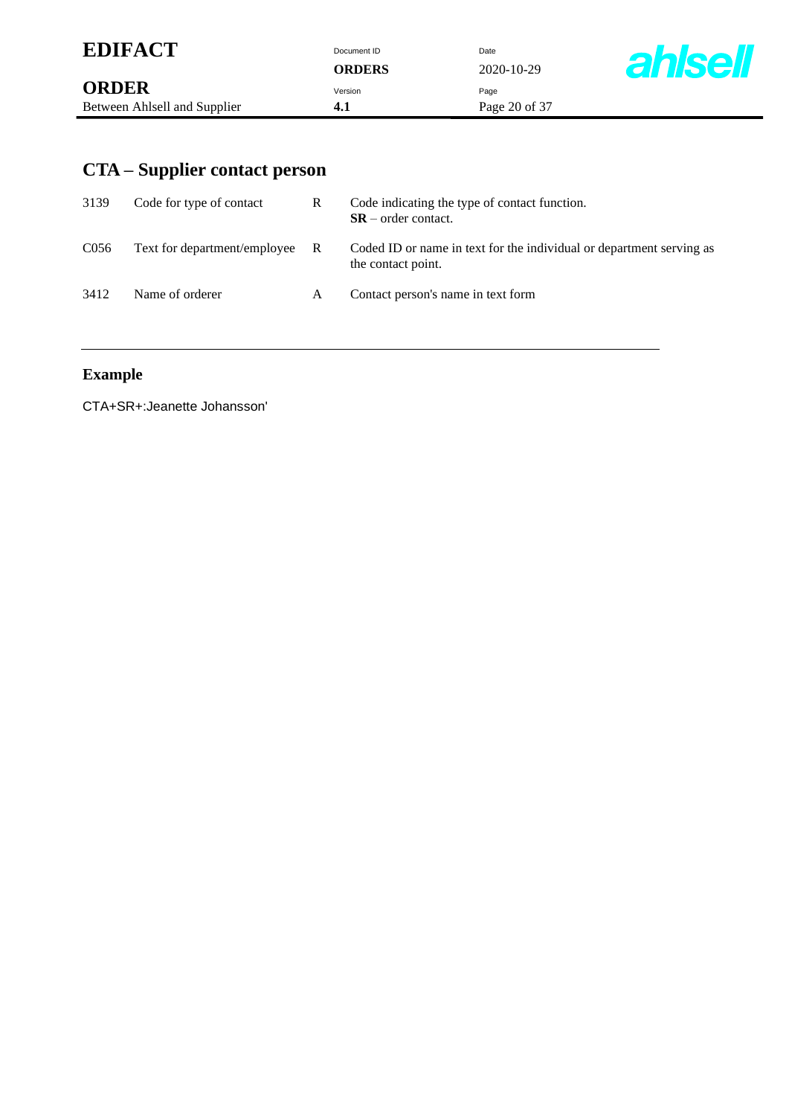| <b>EDIFACT</b>               | Document ID<br><b>ORDERS</b> | Date<br>2020-10-29 | <b>ahlsell</b> |
|------------------------------|------------------------------|--------------------|----------------|
| <b>ORDER</b>                 | Version                      | Page               |                |
| Between Ahlsell and Supplier | 4.1                          | Page 20 of 37      |                |

# **CTA – Supplier contact person**

| 3139             | Code for type of contact       | R | Code indicating the type of contact function.<br>$SR$ – order contact.                     |
|------------------|--------------------------------|---|--------------------------------------------------------------------------------------------|
| C <sub>056</sub> | Text for department/employee R |   | Coded ID or name in text for the individual or department serving as<br>the contact point. |
| 3412             | Name of orderer                | A | Contact person's name in text form                                                         |

# **Example**

CTA+SR+:Jeanette Johansson'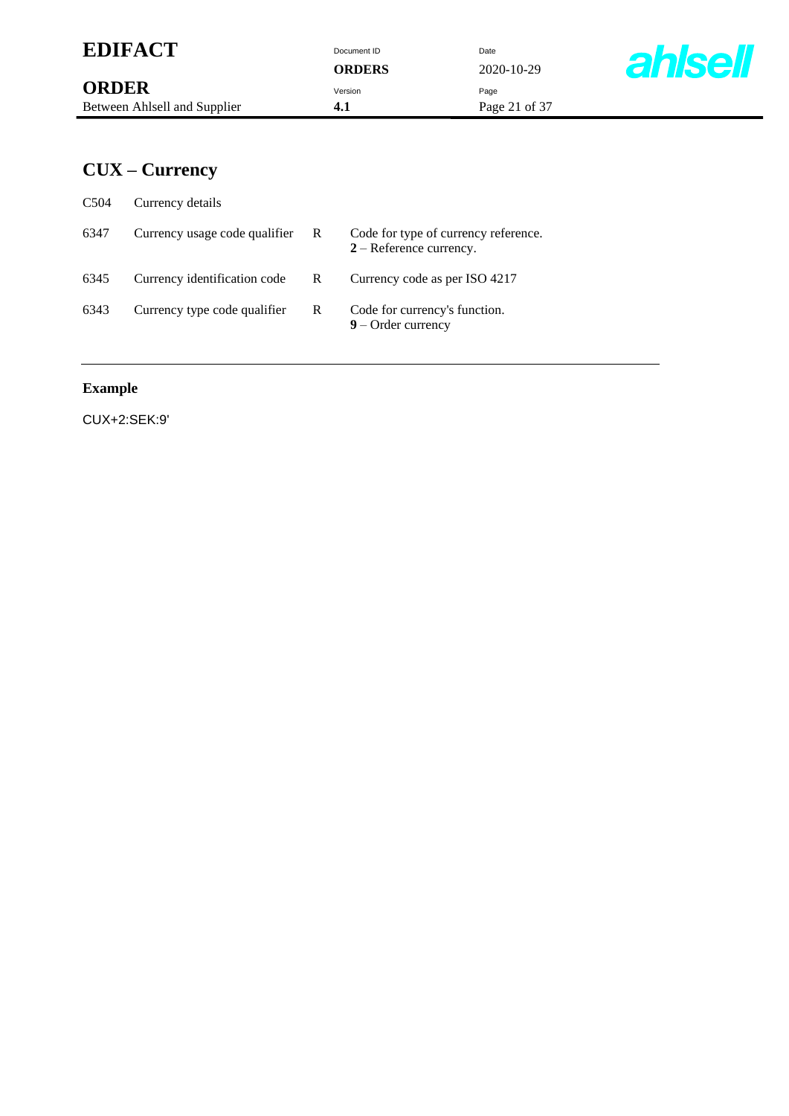| <b>EDIFACT</b>               | Document ID<br><b>ORDERS</b> | Date<br>2020-10-29 | <b>ahlsell</b> |
|------------------------------|------------------------------|--------------------|----------------|
| <b>ORDER</b>                 | Version                      | Page               |                |
| Between Ahlsell and Supplier | 4.1                          | Page 21 of 37      |                |

# **CUX – Currency**

| C <sub>504</sub> | Currency details              |   |                                                                   |
|------------------|-------------------------------|---|-------------------------------------------------------------------|
| 6347             | Currency usage code qualifier | R | Code for type of currency reference.<br>$2 -$ Reference currency. |
| 6345             | Currency identification code  | R | Currency code as per ISO 4217                                     |
| 6343             | Currency type code qualifier  | R | Code for currency's function.<br>$9$ – Order currency             |

### **Example**

CUX+2:SEK:9'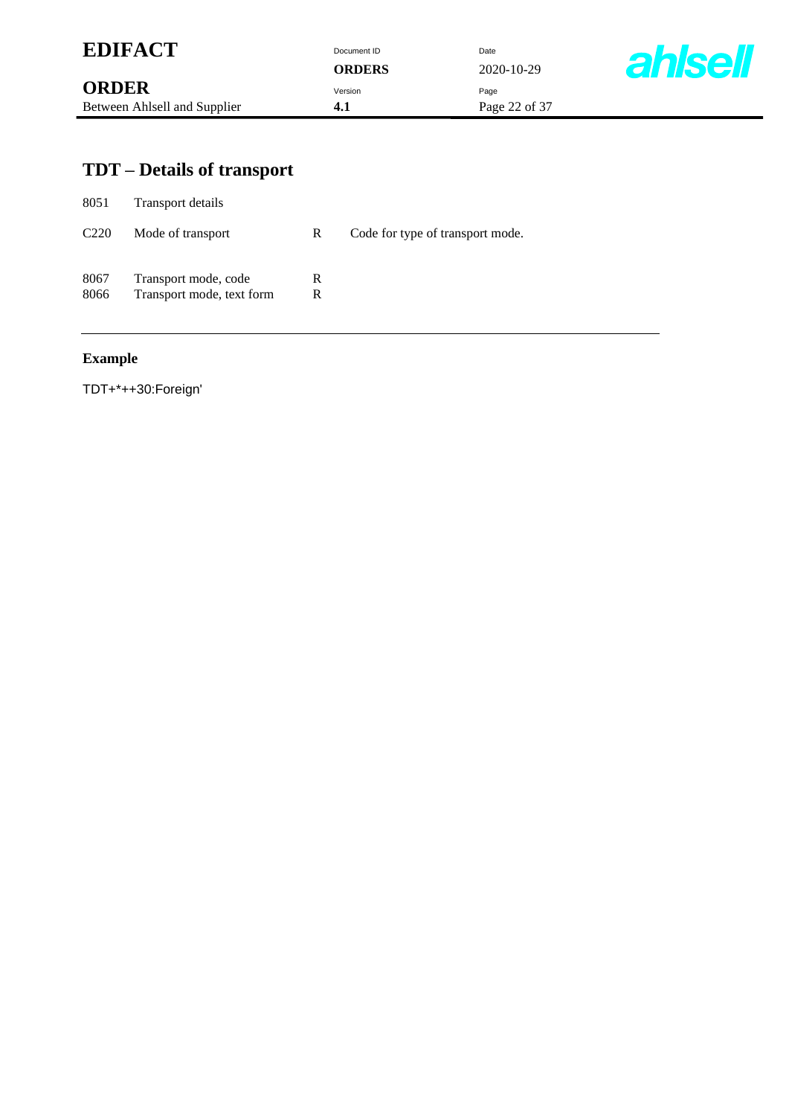| <b>EDIFACT</b>               | Document ID<br><b>ORDERS</b> | Date<br>2020-10-29 | <b>ahlsell</b> |
|------------------------------|------------------------------|--------------------|----------------|
| <b>ORDER</b>                 | Version                      | Page               |                |
| Between Ahlsell and Supplier | 4.1                          | Page 22 of 37      |                |

# **TDT – Details of transport**

| 8051             | Transport details                                 |        |                                  |
|------------------|---------------------------------------------------|--------|----------------------------------|
| C <sub>220</sub> | Mode of transport                                 | R      | Code for type of transport mode. |
| 8067<br>8066     | Transport mode, code<br>Transport mode, text form | R<br>R |                                  |
|                  |                                                   |        |                                  |

### **Example**

TDT+\*++30:Foreign'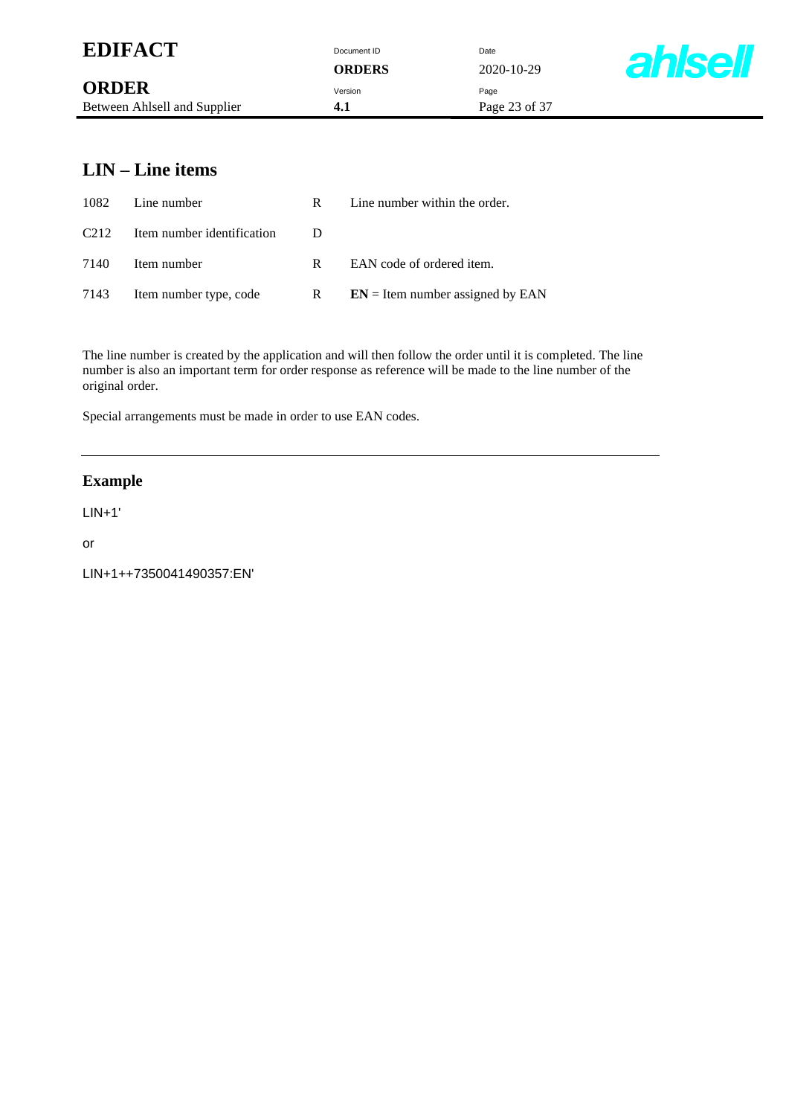| <b>EDIFACT</b>               | Document ID<br><b>ORDERS</b> | Date<br>2020-10-29 | <b>ahlsell</b> |
|------------------------------|------------------------------|--------------------|----------------|
| <b>ORDER</b>                 | Version                      | Page               |                |
| Between Ahlsell and Supplier | 4.1                          | Page 23 of 37      |                |

### **LIN – Line items**

| 1082              | Line number                 | R. | Line number within the order.      |
|-------------------|-----------------------------|----|------------------------------------|
| C <sub>2</sub> 12 | Item number identification  |    |                                    |
| 7140              | Item number                 | R. | EAN code of ordered item.          |
|                   | 7143 Item number type, code | R  | $EN =$ Item number assigned by EAN |

The line number is created by the application and will then follow the order until it is completed. The line number is also an important term for order response as reference will be made to the line number of the original order.

Special arrangements must be made in order to use EAN codes.

#### **Example**

LIN+1'

or

LIN+1++7350041490357:EN'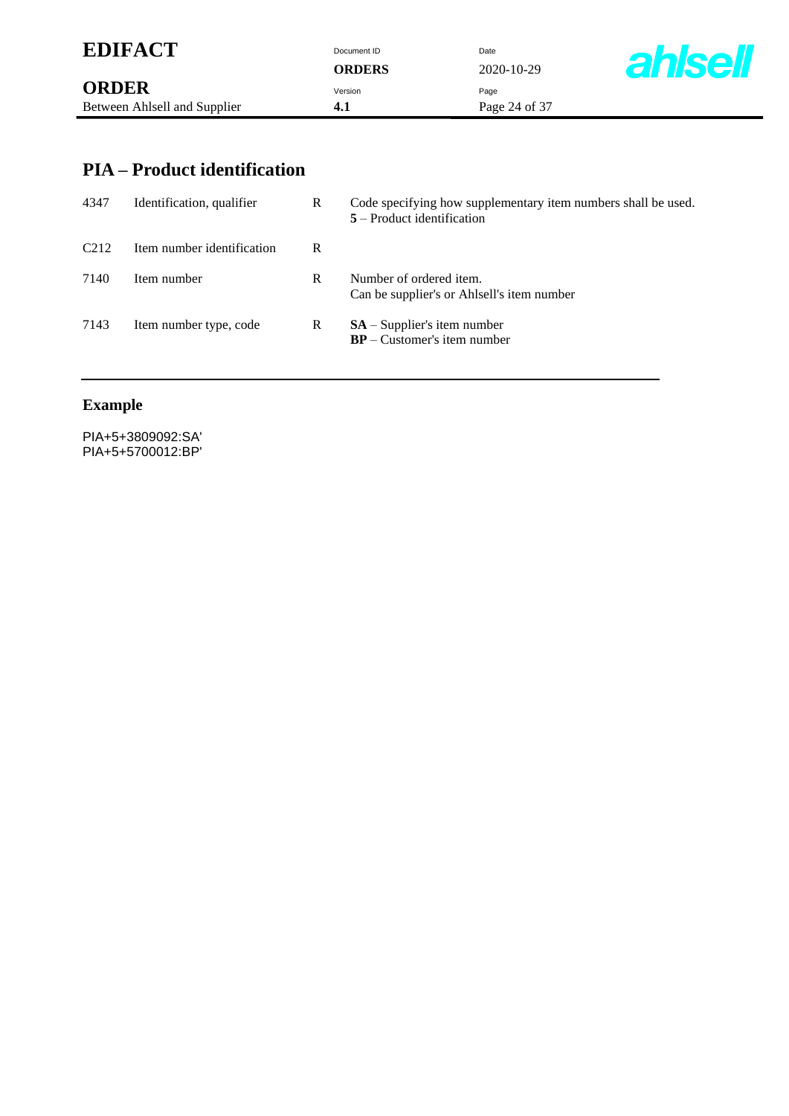| <b>EDIFACT</b>               | Document ID   | Date          |               |
|------------------------------|---------------|---------------|---------------|
|                              | <b>ORDERS</b> | 2020-10-29    | <b>ahlsel</b> |
| <b>ORDER</b>                 | Version       | Page          |               |
| Between Ahlsell and Supplier | 4. I          | Page 24 of 37 |               |

### **PIA – Product identification**

| 4347              | Identification, qualifier  | R | Code specifying how supplementary item numbers shall be used.<br>$5 -$ Product identification |
|-------------------|----------------------------|---|-----------------------------------------------------------------------------------------------|
| C <sub>2</sub> 12 | Item number identification | R |                                                                                               |
| 7140              | Item number                | R | Number of ordered item.<br>Can be supplier's or Ahlsell's item number                         |
| 7143              | Item number type, code     | R | $SA - Supplier's$ item number<br>$BP - Customer's item number$                                |

# **Example**

PIA+5+3809092:SA' PIA+5+5700012:BP'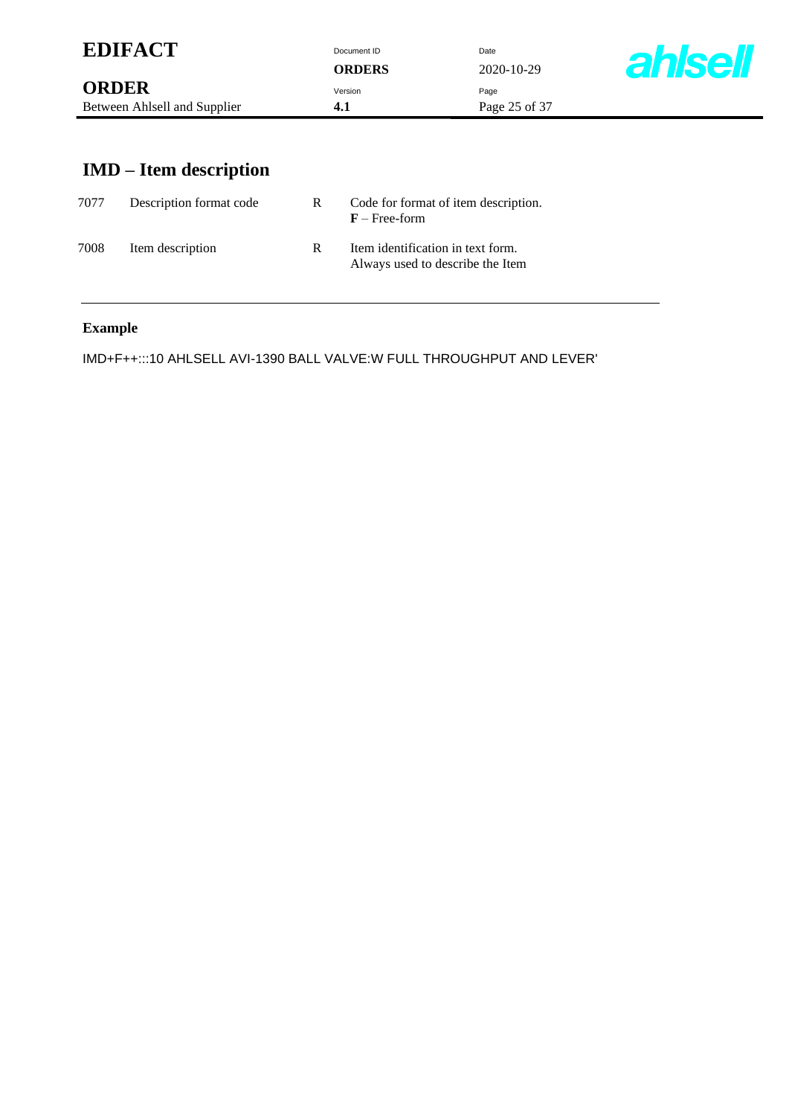| <b>EDIFACT</b>                               | Document ID<br><b>ORDERS</b> | Date<br>$2020 - 10 - 29$ | <b>ahlsell</b> |
|----------------------------------------------|------------------------------|--------------------------|----------------|
| <b>ORDER</b><br>Between Ahlsell and Supplier | Version<br>4.1               | Page<br>Page 25 of 37    |                |
|                                              |                              |                          |                |

# **IMD – Item description**

| 7077 | Description format code | R. | Code for format of item description.<br>$F$ – Free-form               |
|------|-------------------------|----|-----------------------------------------------------------------------|
| 7008 | Item description        | R  | Item identification in text form.<br>Always used to describe the Item |

### **Example**

IMD+F++:::10 AHLSELL AVI-1390 BALL VALVE:W FULL THROUGHPUT AND LEVER'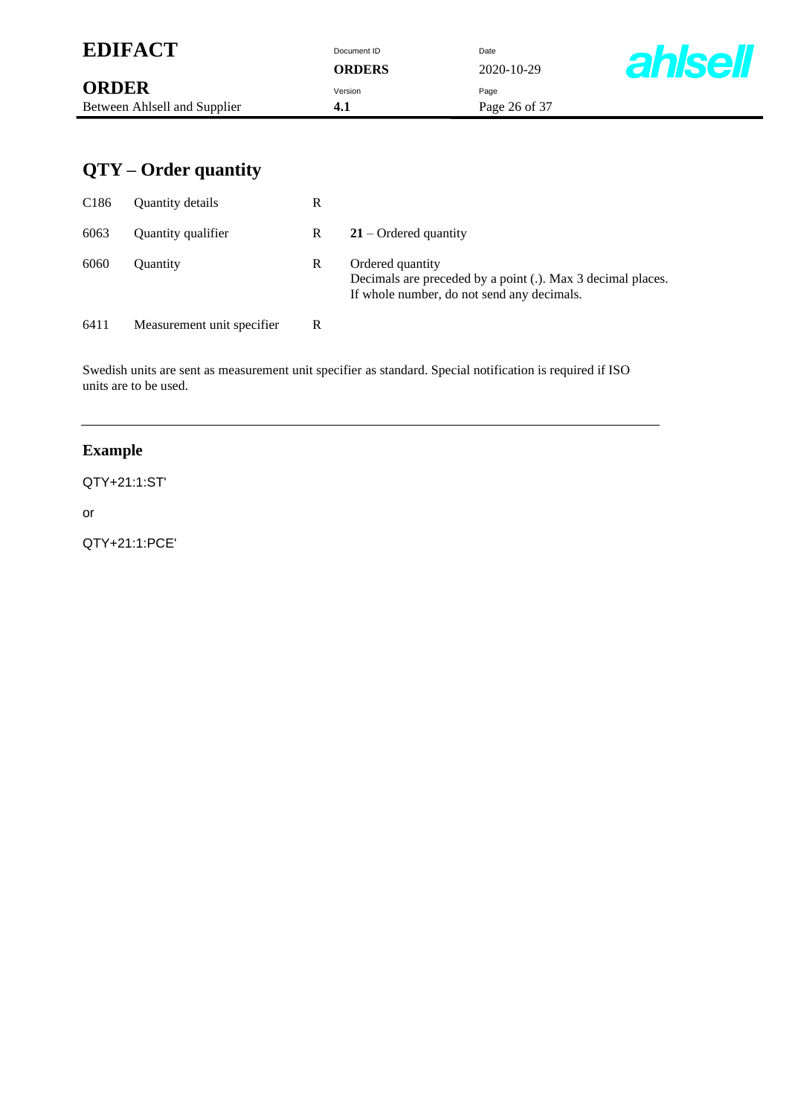| <b>EDIFACT</b>               | Document ID<br><b>ORDERS</b> | Date<br>$2020 - 10 - 29$ | <b>ahlsell</b> |
|------------------------------|------------------------------|--------------------------|----------------|
| <b>ORDER</b>                 | Version                      | Page                     |                |
| Between Ahlsell and Supplier | 4.1                          | Page 26 of 37            |                |

# **QTY – Order quantity**

| C <sub>186</sub> | <b>Ouantity details</b>    | R |                                                                                                                               |
|------------------|----------------------------|---|-------------------------------------------------------------------------------------------------------------------------------|
| 6063             | Quantity qualifier         | R | $21$ – Ordered quantity                                                                                                       |
| 6060             | <b>Ouantity</b>            | R | Ordered quantity<br>Decimals are preceded by a point (.). Max 3 decimal places.<br>If whole number, do not send any decimals. |
| 6411             | Measurement unit specifier | R |                                                                                                                               |

Swedish units are sent as measurement unit specifier as standard. Special notification is required if ISO units are to be used.

### **Example**

#### QTY+21:1:ST'

or

QTY+21:1:PCE'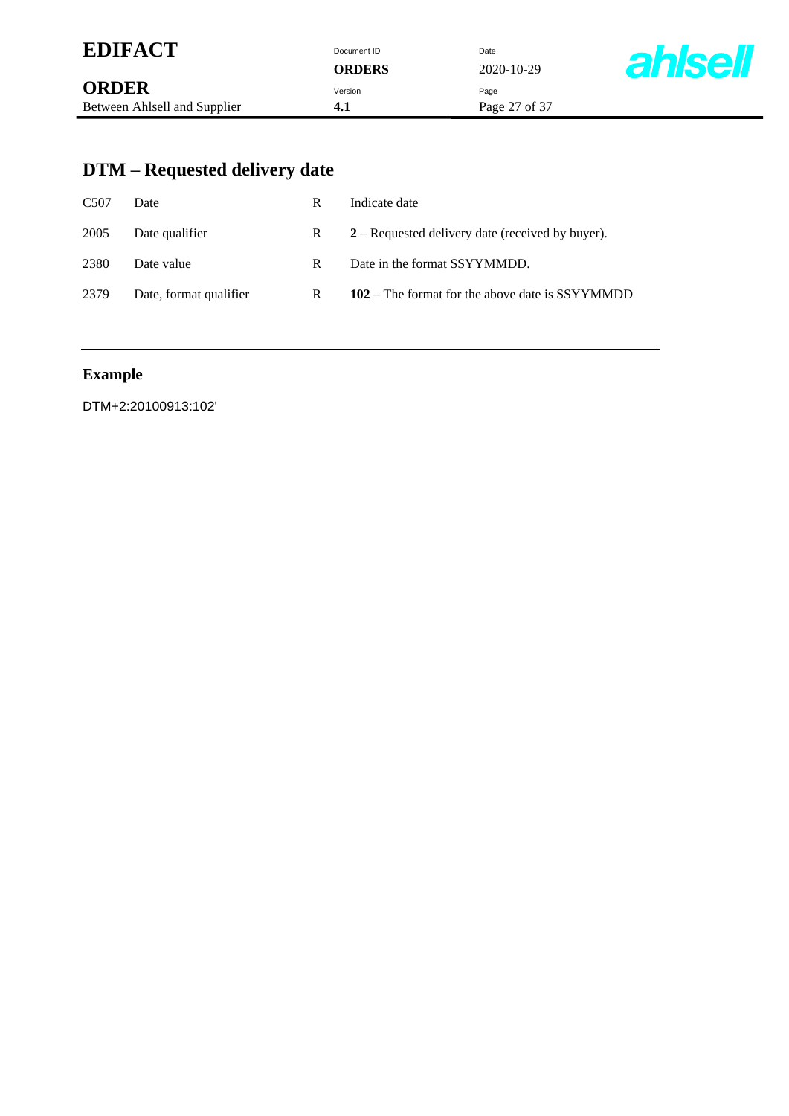| <b>EDIFACT</b>               | Document ID   | Date          |                |
|------------------------------|---------------|---------------|----------------|
|                              | <b>ORDERS</b> | 2020-10-29    | <b>ahlsell</b> |
| <b>ORDER</b>                 | Version       | Page          |                |
| Between Ahlsell and Supplier | 4.1           | Page 27 of 37 |                |

# **DTM – Requested delivery date**

| C <sub>507</sub> | Date                   | R | Indicate date                                      |
|------------------|------------------------|---|----------------------------------------------------|
| 2005             | Date qualifier         | R | $2 -$ Requested delivery date (received by buyer). |
| 2380             | Date value             | R | Date in the format SSYYMMDD.                       |
| 2379             | Date, format qualifier | R | 102 – The format for the above date is SSYYMMDD    |

# **Example**

DTM+2:20100913:102'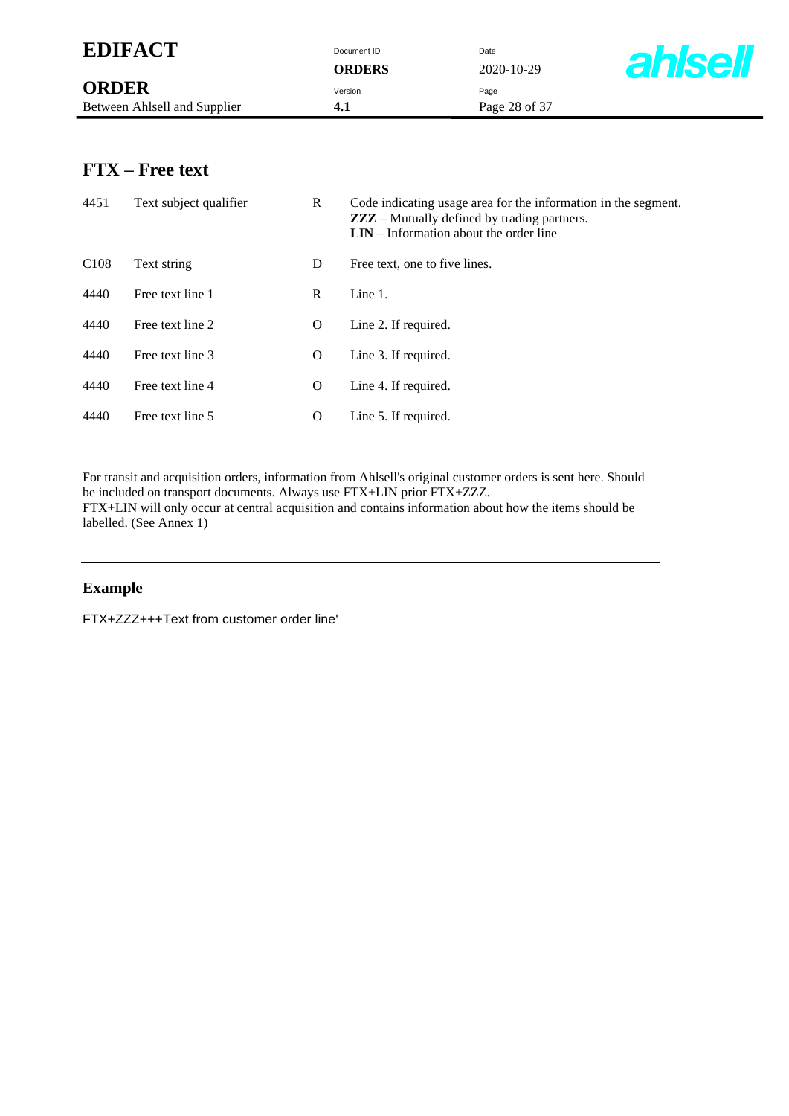| <b>EDIFACT</b>               | Document ID<br>ORDERS | Date<br>$2020 - 10 - 29$ | <b>ahlse</b> |
|------------------------------|-----------------------|--------------------------|--------------|
| <b>ORDER</b>                 | Version               | Page                     |              |
| Between Ahlsell and Supplier | 4.1                   | Page 28 of 37            |              |

### **FTX – Free text**

| 4451             | Text subject qualifier | R | Code indicating usage area for the information in the segment.<br><b>ZZZ</b> – Mutually defined by trading partners.<br>$LIN - Information$ about the order line |
|------------------|------------------------|---|------------------------------------------------------------------------------------------------------------------------------------------------------------------|
| C <sub>108</sub> | Text string            | D | Free text, one to five lines.                                                                                                                                    |
| 4440             | Free text line 1       | R | Line $1$ .                                                                                                                                                       |
| 4440             | Free text line 2       | O | Line 2. If required.                                                                                                                                             |
| 4440             | Free text line 3       | O | Line 3. If required.                                                                                                                                             |
| 4440             | Free text line 4       | O | Line 4. If required.                                                                                                                                             |
| 4440             | Free text line 5       | O | Line 5. If required.                                                                                                                                             |

For transit and acquisition orders, information from Ahlsell's original customer orders is sent here. Should be included on transport documents. Always use FTX+LIN prior FTX+ZZZ. FTX+LIN will only occur at central acquisition and contains information about how the items should be labelled. (See Annex 1)

#### **Example**

FTX+ZZZ+++Text from customer order line'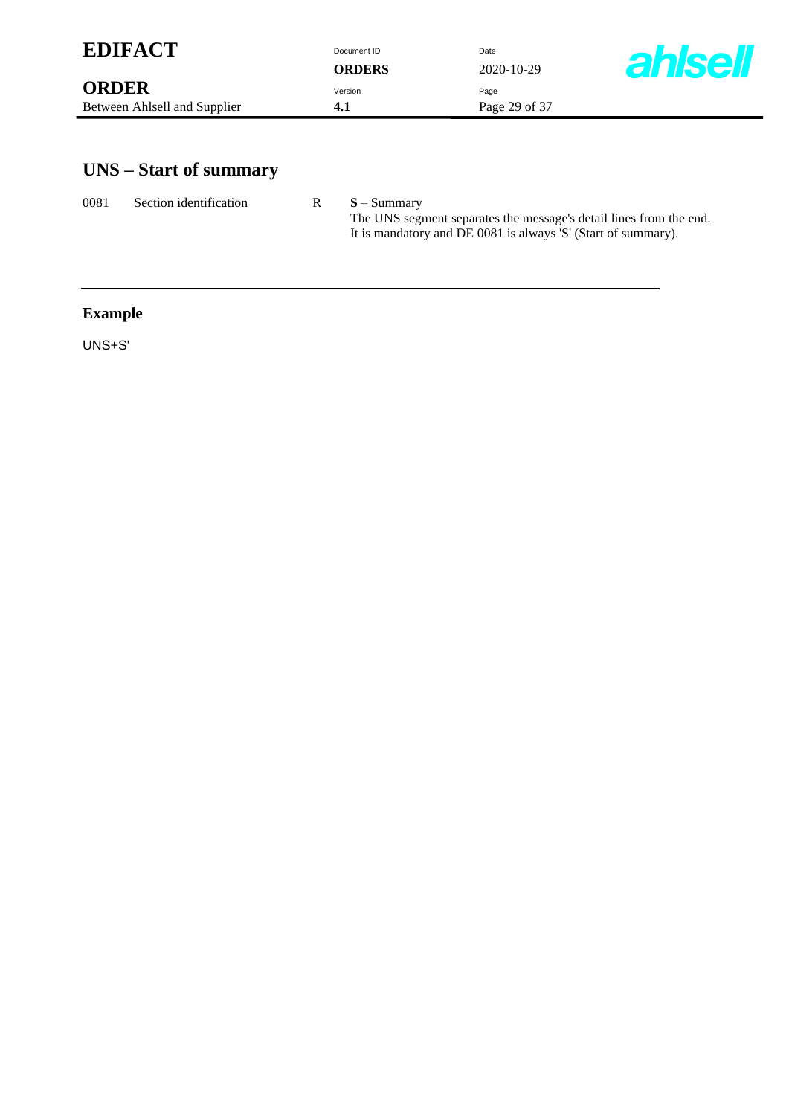| <b>EDIFACT</b>               | Document ID   | Date          |                |
|------------------------------|---------------|---------------|----------------|
|                              | <b>ORDERS</b> | 2020-10-29    | <b>ahlsell</b> |
| <b>ORDER</b>                 | Version       | Page          |                |
| Between Ahlsell and Supplier | 4.1           | Page 29 of 37 |                |
|                              |               |               |                |

# **UNS – Start of summary**

| 0081 | Section identification | $S - Summarv$                                                                                                                       |
|------|------------------------|-------------------------------------------------------------------------------------------------------------------------------------|
|      |                        | The UNS segment separates the message's detail lines from the end.<br>It is mandatory and DE 0081 is always 'S' (Start of summary). |

# **Example**

UNS+S'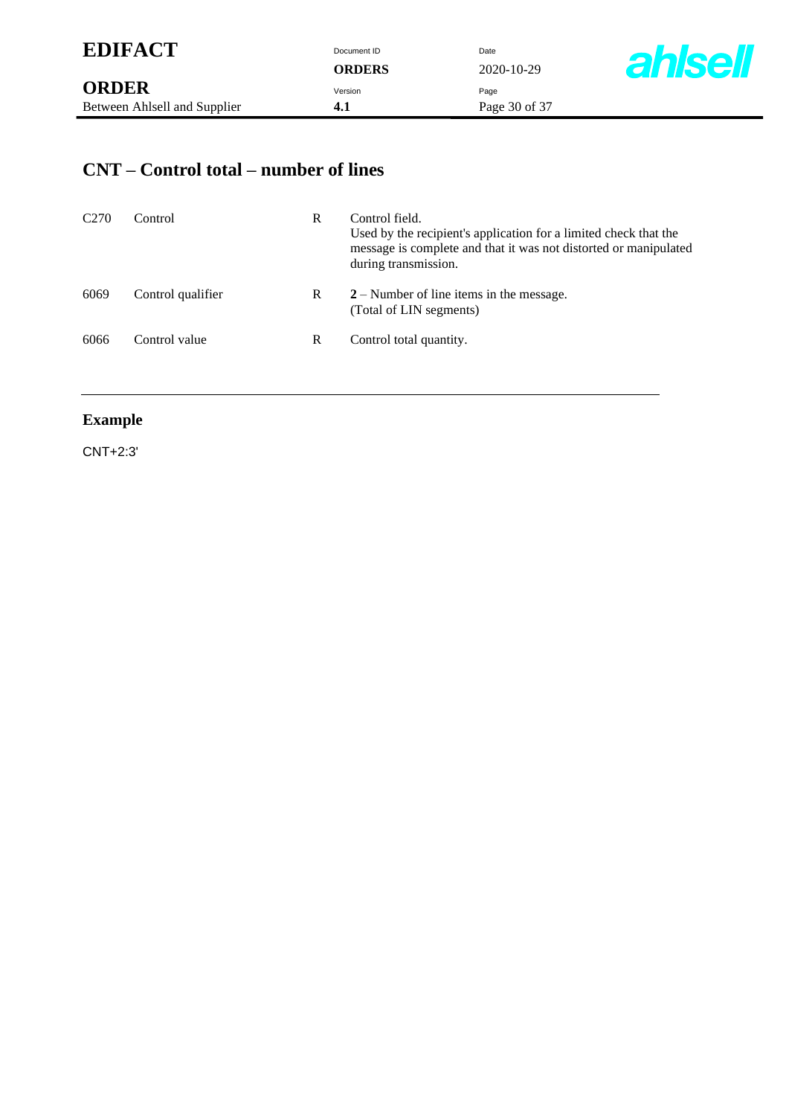| <b>EDIFACT</b> | Document ID | Date |
|----------------|-------------|------|
|                |             |      |

**ORDERS** 2020-10-29



### **CNT – Control total – number of lines**

| C <sub>270</sub> | Control           | R | Control field.<br>Used by the recipient's application for a limited check that the<br>message is complete and that it was not distorted or manipulated<br>during transmission. |
|------------------|-------------------|---|--------------------------------------------------------------------------------------------------------------------------------------------------------------------------------|
| 6069             | Control qualifier | R | $2 -$ Number of line items in the message.<br>(Total of LIN segments)                                                                                                          |
| 6066             | Control value     | R | Control total quantity.                                                                                                                                                        |

### **Example**

CNT+2:3'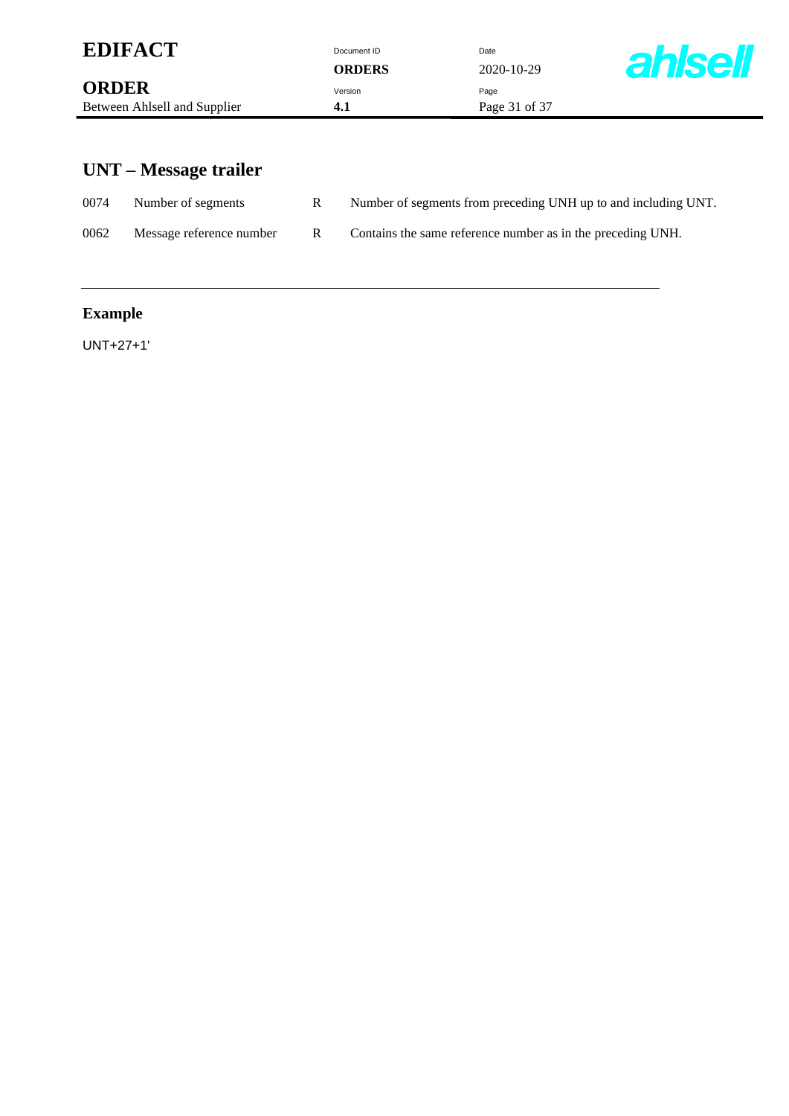| <b>ahlsell</b> |
|----------------|
|                |
|                |

# **UNT – Message trailer**

| 0074 | Number of segments       |    | Number of segments from preceding UNH up to and including UNT. |
|------|--------------------------|----|----------------------------------------------------------------|
| 0062 | Message reference number | R. | Contains the same reference number as in the preceding UNH.    |

# **Example**

UNT+27+1'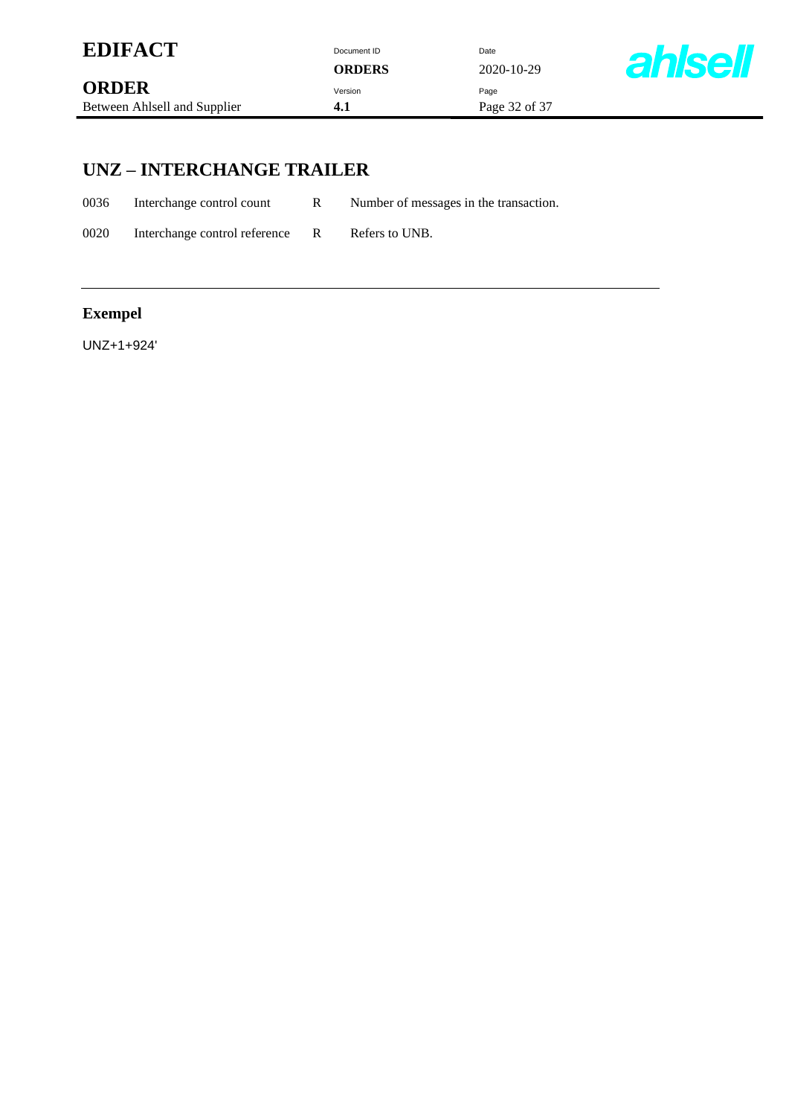| <b>EDIFACT</b>               | Document ID<br><b>ORDERS</b> | Date<br>2020-10-29 | <b>ahlsell</b> |
|------------------------------|------------------------------|--------------------|----------------|
| <b>ORDER</b>                 | Version                      | Page               |                |
| Between Ahlsell and Supplier | 4.1                          | Page 32 of 37      |                |

### **UNZ – INTERCHANGE TRAILER**

0036 Interchange control count R Number of messages in the transaction.

0020 Interchange control reference R Refers to UNB.

### **Exempel**

UNZ+1+924'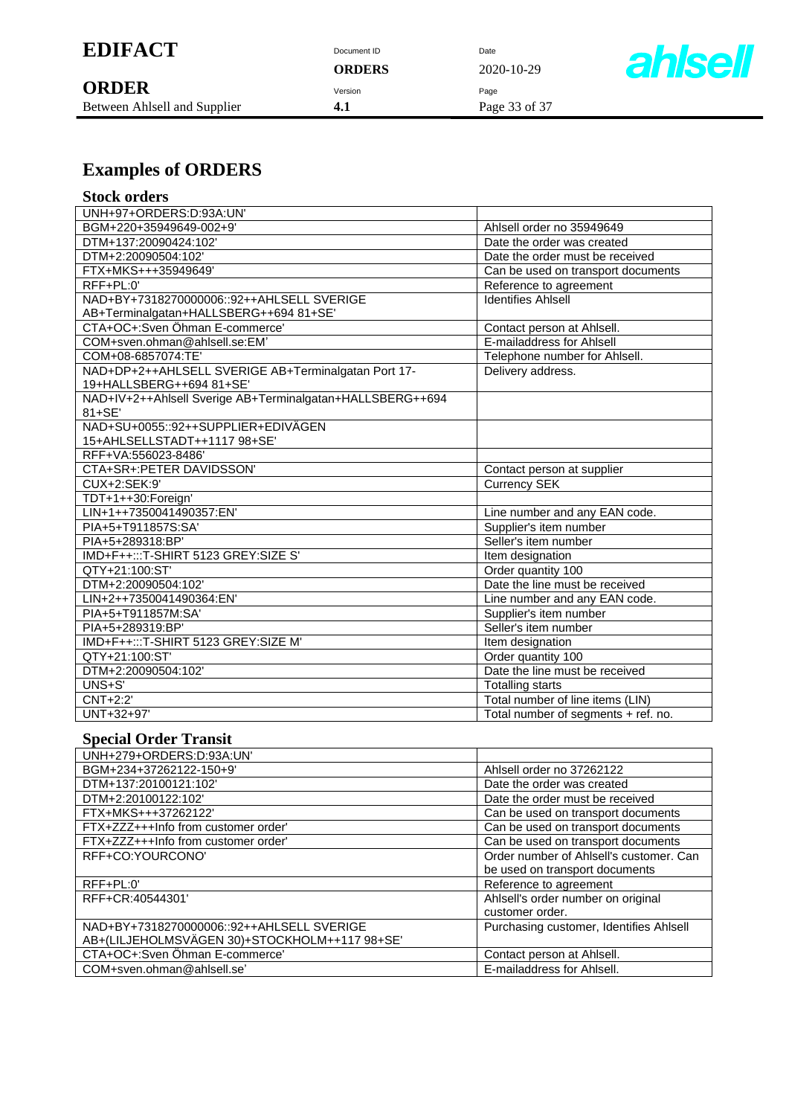| <b>EDIFACT</b> | Document ID | Date |
|----------------|-------------|------|
|                |             |      |

| <b>ORDER</b>                 | Version | Paɑe |
|------------------------------|---------|------|
| Between Ahlsell and Supplier |         | Pag  |

**ORDERS** 2020-10-29  $B = \begin{cases} 4.1 \end{cases}$  Page 33 of 37



# **Examples of ORDERS**

| <b>Stock orders</b> |  |
|---------------------|--|
|---------------------|--|

| UNH+97+ORDERS:D:93A:UN'                                   |                                     |
|-----------------------------------------------------------|-------------------------------------|
| BGM+220+35949649-002+9'                                   | Ahlsell order no 35949649           |
| DTM+137:20090424:102'                                     | Date the order was created          |
| DTM+2:20090504:102'                                       | Date the order must be received     |
| FTX+MKS+++35949649'                                       | Can be used on transport documents  |
| $RFF+PL:0'$                                               | Reference to agreement              |
| NAD+BY+7318270000006::92++AHLSELL SVERIGE                 | <b>Identifies Ahlsell</b>           |
| AB+Terminalgatan+HALLSBERG++694 81+SE'                    |                                     |
| CTA+OC+:Sven Öhman E-commerce'                            | Contact person at Ahlsell.          |
| COM+sven.ohman@ahlsell.se:EM'                             | E-mailaddress for Ahlsell           |
| COM+08-6857074:TE'                                        | Telephone number for Ahlsell.       |
| NAD+DP+2++AHLSELL SVERIGE AB+Terminalgatan Port 17-       | Delivery address.                   |
| 19+HALLSBERG++694 81+SE'                                  |                                     |
| NAD+IV+2++Ahlsell Sverige AB+Terminalgatan+HALLSBERG++694 |                                     |
| $81 + SE'$                                                |                                     |
| NAD+SU+0055::92++SUPPLIER+EDIVÄGEN                        |                                     |
| 15+AHLSELLSTADT++1117 98+SE'                              |                                     |
| RFF+VA:556023-8486'                                       |                                     |
| CTA+SR+:PETER DAVIDSSON'                                  | Contact person at supplier          |
| CUX+2:SEK:9'                                              | <b>Currency SEK</b>                 |
| TDT+1++30:Foreign'                                        |                                     |
| LIN+1++7350041490357:EN'                                  | Line number and any EAN code.       |
| PIA+5+T911857S:SA'                                        | Supplier's item number              |
| PIA+5+289318:BP'                                          | Seller's item number                |
| IMD+F++:::T-SHIRT 5123 GREY:SIZE S'                       | Item designation                    |
| QTY+21:100:ST'                                            | Order quantity 100                  |
| DTM+2:20090504:102'                                       | Date the line must be received      |
| LIN+2++7350041490364:EN'                                  | Line number and any EAN code.       |
| PIA+5+T911857M:SA'                                        | Supplier's item number              |
| PIA+5+289319:BP'                                          | Seller's item number                |
| IMD+F++:::T-SHIRT 5123 GREY:SIZE M'                       | Item designation                    |
| QTY+21:100:ST'                                            | Order quantity 100                  |
| DTM+2:20090504:102'                                       | Date the line must be received      |
| UNS+S'                                                    | <b>Totalling starts</b>             |
| CNT+2:2'                                                  | Total number of line items (LIN)    |
| UNT+32+97'                                                | Total number of segments + ref. no. |

### **Special Order Transit**

| UNH+279+ORDERS:D:93A:UN'                      |                                         |
|-----------------------------------------------|-----------------------------------------|
| BGM+234+37262122-150+9'                       | Ahlsell order no 37262122               |
| DTM+137:20100121:102'                         | Date the order was created              |
| DTM+2:20100122:102'                           | Date the order must be received         |
| FTX+MKS+++37262122'                           | Can be used on transport documents      |
| FTX+ZZZ+++Info from customer order            | Can be used on transport documents      |
| FTX+ZZZ+++Info from customer order            | Can be used on transport documents      |
| RFF+CO:YOURCONO'                              | Order number of Ahlsell's customer. Can |
|                                               | be used on transport documents          |
| $RFF+PL:0'$                                   | Reference to agreement                  |
| RFF+CR:40544301'                              | Ahlsell's order number on original      |
|                                               | customer order.                         |
| NAD+BY+7318270000006::92++AHLSELL SVERIGE     | Purchasing customer, Identifies Ahlsell |
| AB+(LILJEHOLMSVÄGEN 30)+STOCKHOLM++117 98+SE' |                                         |
| CTA+OC+:Sven Öhman E-commerce'                | Contact person at Ahlsell.              |
| COM+sven.ohman@ahlsell.se'                    | E-mailaddress for Ahlsell.              |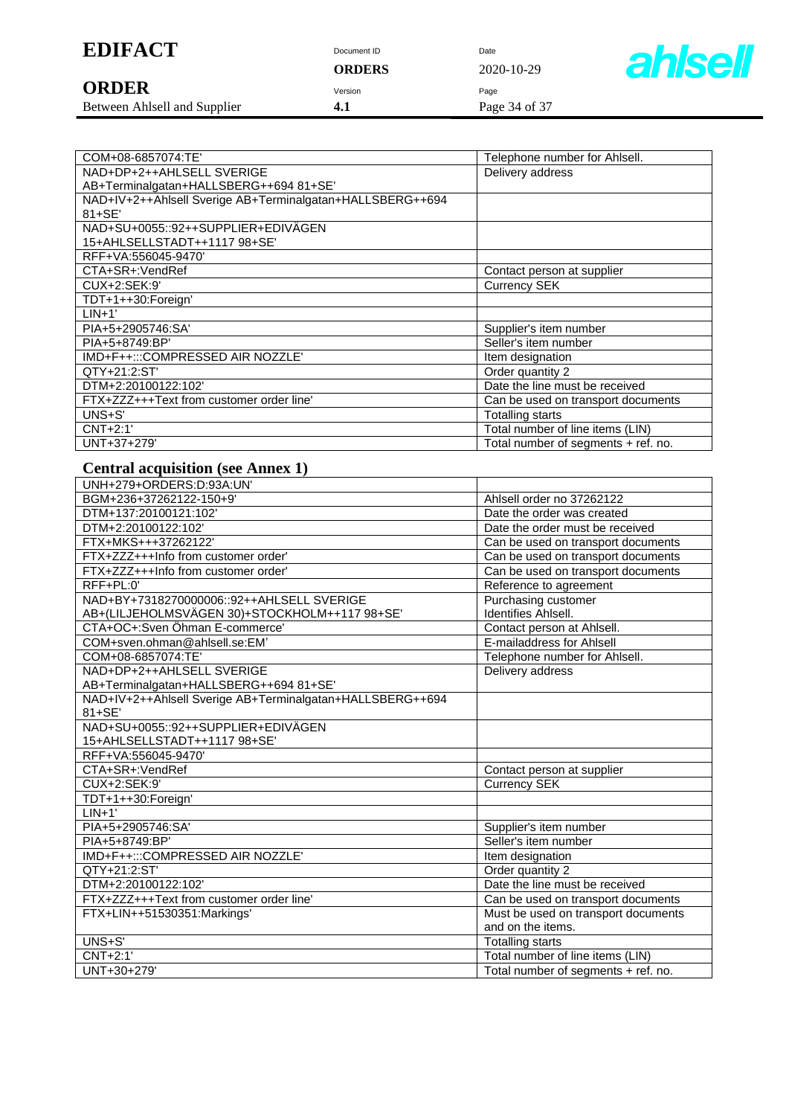| <b>EDIFACT</b> | Document ID | Date |
|----------------|-------------|------|
|                |             |      |

|                              | URDERS  | 2020-10-29    |
|------------------------------|---------|---------------|
| <b>ORDER</b>                 | Version | Page          |
| Between Ahlsell and Supplier | 4.1     | Page 34 of 37 |

**ORDERS** 2020-10-29



| COM+08-6857074:TE'                                        | Telephone number for Ahlsell.       |
|-----------------------------------------------------------|-------------------------------------|
| NAD+DP+2++AHLSELL SVERIGE                                 | Delivery address                    |
| AB+Terminalgatan+HALLSBERG++694 81+SE'                    |                                     |
| NAD+IV+2++Ahlsell Sverige AB+Terminalgatan+HALLSBERG++694 |                                     |
| $81 + SE'$                                                |                                     |
| NAD+SU+0055::92++SUPPLIER+EDIVÄGEN                        |                                     |
| 15+AHLSELLSTADT++1117 98+SE'                              |                                     |
| RFF+VA:556045-9470'                                       |                                     |
| CTA+SR+:VendRef                                           | Contact person at supplier          |
| CUX+2:SEK:9'                                              | <b>Currency SEK</b>                 |
| TDT+1++30:Foreign'                                        |                                     |
| $LIN+1'$                                                  |                                     |
| PIA+5+2905746:SA'                                         | Supplier's item number              |
| PIA+5+8749:BP'                                            | Seller's item number                |
| IMD+F++:::COMPRESSED AIR NOZZLE'                          | Item designation                    |
| QTY+21:2:ST                                               | Order quantity 2                    |
| DTM+2:20100122:102'                                       | Date the line must be received      |
| FTX+ZZZ+++Text from customer order line'                  | Can be used on transport documents  |
| $UNS + S'$                                                | <b>Totalling starts</b>             |
| $CNT+2:1'$                                                | Total number of line items (LIN)    |
| UNT+37+279'                                               | Total number of segments + ref. no. |

### **Central acquisition (see Annex 1)**

| UNH+279+ORDERS:D:93A:UN'                                  |                                     |
|-----------------------------------------------------------|-------------------------------------|
| BGM+236+37262122-150+9'                                   | Ahlsell order no 37262122           |
| DTM+137:20100121:102'                                     | Date the order was created          |
| DTM+2:20100122:102'                                       | Date the order must be received     |
| FTX+MKS+++37262122'                                       | Can be used on transport documents  |
| FTX+ZZZ+++Info from customer order'                       | Can be used on transport documents  |
| FTX+ZZZ+++Info from customer order'                       | Can be used on transport documents  |
| $RFF+PL:0'$                                               | Reference to agreement              |
| NAD+BY+7318270000006::92++AHLSELL SVERIGE                 | Purchasing customer                 |
| AB+(LILJEHOLMSVÄGEN 30)+STOCKHOLM++117 98+SE'             | <b>Identifies Ahlsell.</b>          |
| CTA+OC+:Sven Öhman E-commerce'                            | Contact person at Ahlsell.          |
| COM+sven.ohman@ahlsell.se:EM'                             | E-mailaddress for Ahlsell           |
| COM+08-6857074:TE'                                        | Telephone number for Ahlsell.       |
| NAD+DP+2++AHLSELL SVERIGE                                 | Delivery address                    |
| AB+Terminalgatan+HALLSBERG++694 81+SE'                    |                                     |
| NAD+IV+2++Ahlsell Sverige AB+Terminalgatan+HALLSBERG++694 |                                     |
| 81+SE'                                                    |                                     |
| NAD+SU+0055::92++SUPPLIER+EDIVÄGEN                        |                                     |
| 15+AHLSELLSTADT++1117 98+SE'                              |                                     |
| RFF+VA:556045-9470'                                       |                                     |
| CTA+SR+:VendRef                                           | Contact person at supplier          |
| CUX+2:SEK:9'                                              | <b>Currency SEK</b>                 |
| TDT+1++30:Foreign'                                        |                                     |
| $LIN+1'$                                                  |                                     |
| PIA+5+2905746:SA'                                         | Supplier's item number              |
| PIA+5+8749:BP'                                            | Seller's item number                |
| IMD+F++:::COMPRESSED AIR NOZZLE'                          | Item designation                    |
| QTY+21:2:ST'                                              | Order quantity 2                    |
| DTM+2:20100122:102'                                       | Date the line must be received      |
| FTX+ZZZ+++Text from customer order line'                  | Can be used on transport documents  |
| FTX+LIN++51530351:Markings'                               | Must be used on transport documents |
|                                                           | and on the items.                   |
| UNS+S'                                                    | <b>Totalling starts</b>             |
| CNT+2:1'                                                  | Total number of line items (LIN)    |
| UNT+30+279'                                               | Total number of segments + ref. no. |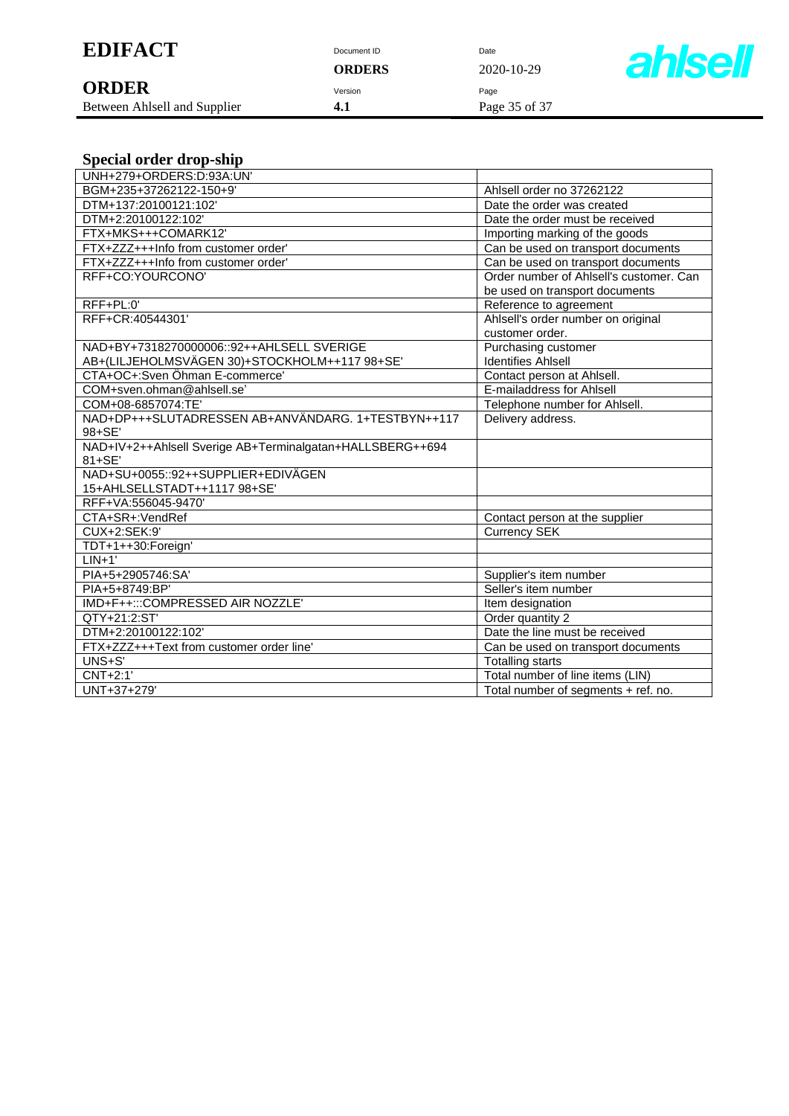| <b>EDIFACT</b> | Document ID | Date |
|----------------|-------------|------|
|                |             |      |

| <b>ORDER</b>                 | Version |     |
|------------------------------|---------|-----|
| Detroit Ablasti and Cunnling |         | Daa |

Between Ahlsell and Supplier **4.1** Page 35 of 37

**ORDERS** 2020-10-29



|  |  | <b>Special order drop-ship</b> |  |  |
|--|--|--------------------------------|--|--|
|--|--|--------------------------------|--|--|

| UNH+279+ORDERS:D:93A:UN'                                  |                                         |  |
|-----------------------------------------------------------|-----------------------------------------|--|
| BGM+235+37262122-150+9'                                   | Ahlsell order no 37262122               |  |
| DTM+137:20100121:102'                                     | Date the order was created              |  |
| DTM+2:20100122:102'                                       | Date the order must be received         |  |
| FTX+MKS+++COMARK12'                                       | Importing marking of the goods          |  |
| FTX+ZZZ+++Info from customer order'                       | Can be used on transport documents      |  |
| FTX+ZZZ+++Info from customer order'                       | Can be used on transport documents      |  |
| RFF+CO:YOURCONO'                                          | Order number of Ahlsell's customer. Can |  |
|                                                           | be used on transport documents          |  |
| RFF+PL:0'                                                 | Reference to agreement                  |  |
| RFF+CR:40544301'                                          | Ahlsell's order number on original      |  |
|                                                           | customer order.                         |  |
| NAD+BY+7318270000006::92++AHLSELL SVERIGE                 | Purchasing customer                     |  |
| AB+(LILJEHOLMSVÄGEN 30)+STOCKHOLM++117 98+SE'             | <b>Identifies Ahlsell</b>               |  |
| CTA+OC+:Sven Öhman E-commerce'                            | Contact person at Ahlsell.              |  |
| COM+sven.ohman@ahlsell.se'                                | E-mailaddress for Ahlsell               |  |
| COM+08-6857074:TE'                                        | Telephone number for Ahlsell.           |  |
| NAD+DP+++SLUTADRESSEN AB+ANVÄNDARG. 1+TESTBYN++117        | Delivery address.                       |  |
| 98+SE'                                                    |                                         |  |
| NAD+IV+2++Ahlsell Sverige AB+Terminalgatan+HALLSBERG++694 |                                         |  |
| $81 + SE'$                                                |                                         |  |
| NAD+SU+0055::92++SUPPLIER+EDIVÄGEN                        |                                         |  |
| 15+AHLSELLSTADT++1117 98+SE'                              |                                         |  |
| RFF+VA:556045-9470'                                       |                                         |  |
| CTA+SR+:VendRef                                           | Contact person at the supplier          |  |
| Currency SEK<br>CUX+2:SEK:9'                              |                                         |  |
| TDT+1++30:Foreign'                                        |                                         |  |
| $LIN+1'$                                                  |                                         |  |
| PIA+5+2905746:SA'                                         | Supplier's item number                  |  |
| PIA+5+8749:BP'                                            | Seller's item number                    |  |
| IMD+F++:::COMPRESSED AIR NOZZLE'                          | Item designation                        |  |
| QTY+21:2:ST'                                              | Order quantity 2                        |  |
| DTM+2:20100122:102'                                       | Date the line must be received          |  |
| FTX+ZZZ+++Text from customer order line'                  | Can be used on transport documents      |  |
| UNS+S'                                                    | <b>Totalling starts</b>                 |  |
| $CNT+2:1'$<br>Total number of line items (LIN)            |                                         |  |
| UNT+37+279'<br>Total number of segments + ref. no.        |                                         |  |